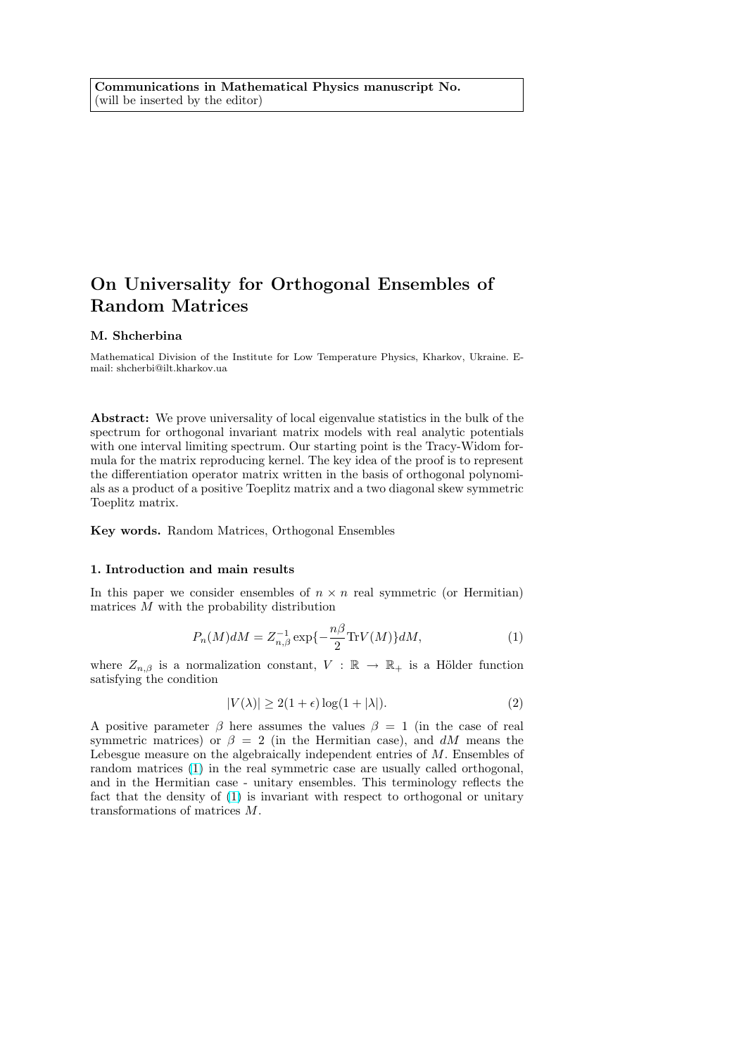# <span id="page-0-0"></span>On Universality for Orthogonal Ensembles of Random Matrices

### M. Shcherbina

Mathematical Division of the Institute for Low Temperature Physics, Kharkov, Ukraine. Email: shcherbi@ilt.kharkov.ua

Abstract: We prove universality of local eigenvalue statistics in the bulk of the spectrum for orthogonal invariant matrix models with real analytic potentials with one interval limiting spectrum. Our starting point is the Tracy-Widom formula for the matrix reproducing kernel. The key idea of the proof is to represent the differentiation operator matrix written in the basis of orthogonal polynomials as a product of a positive Toeplitz matrix and a two diagonal skew symmetric Toeplitz matrix.

Key words. Random Matrices, Orthogonal Ensembles

#### 1. Introduction and main results

In this paper we consider ensembles of  $n \times n$  real symmetric (or Hermitian) matrices  $M$  with the probability distribution

$$
P_n(M)dM = Z_{n,\beta}^{-1} \exp\{-\frac{n\beta}{2}\text{Tr}V(M)\}dM,\tag{1}
$$

where  $Z_{n,\beta}$  is a normalization constant,  $V : \mathbb{R} \to \mathbb{R}_+$  is a Hölder function satisfying the condition

$$
|V(\lambda)| \ge 2(1+\epsilon)\log(1+|\lambda|). \tag{2}
$$

A positive parameter  $\beta$  here assumes the values  $\beta = 1$  (in the case of real symmetric matrices) or  $\beta = 2$  (in the Hermitian case), and dM means the Lebesgue measure on the algebraically independent entries of M. Ensembles of random matrices (1) in the real symmetric case are usually called orthogonal, and in the Hermitian case - unitary ensembles. This terminology reflects the fact that the density of (1) is invariant with respect to orthogonal or unitary transformations of matrices M.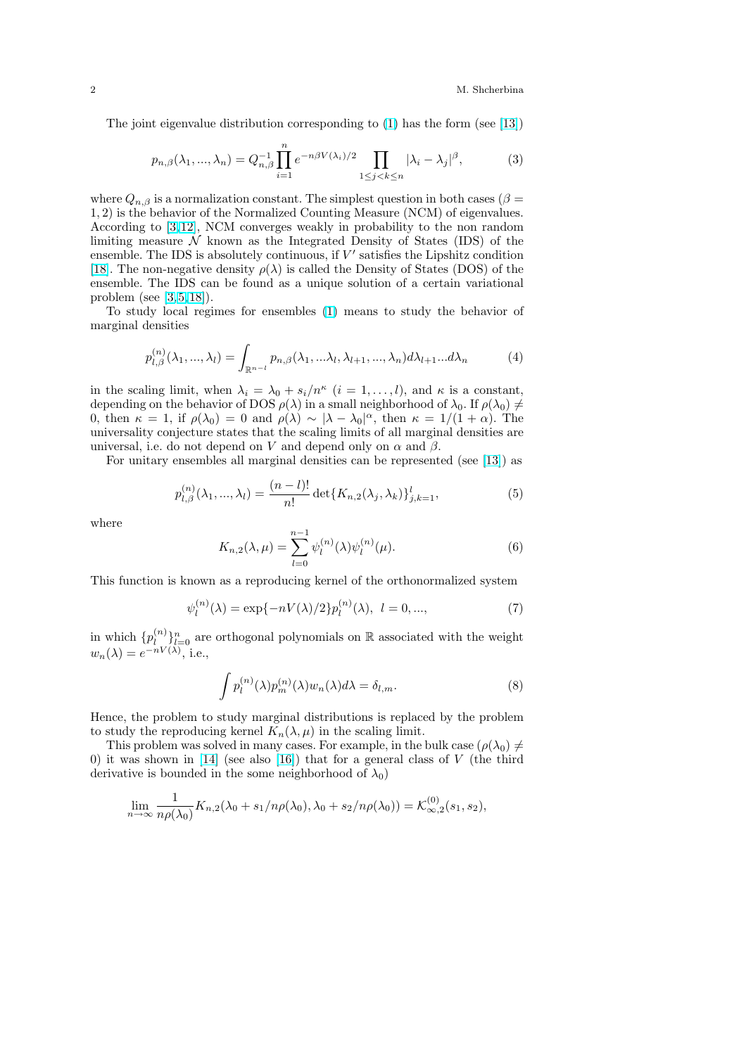<span id="page-1-0"></span>The joint eigenvalue distribution corresponding to (1) has the form (see [13])

$$
p_{n,\beta}(\lambda_1, \ldots, \lambda_n) = Q_{n,\beta}^{-1} \prod_{i=1}^n e^{-n\beta V(\lambda_i)/2} \prod_{1 \le j < k \le n} |\lambda_i - \lambda_j|^\beta,\tag{3}
$$

where  $Q_{n,\beta}$  is a normalization constant. The simplest question in both cases ( $\beta$  = 1, 2) is the behavior of the Normalized Counting Measure (NCM) of eigenvalues. According to [3,12], NCM converges weakly in probability to the non random limiting measure  $\mathcal N$  known as the Integrated Density of States (IDS) of the ensemble. The IDS is absolutely continuous, if  $V'$  satisfies the Lipshitz condition [18]. The non-negative density  $\rho(\lambda)$  is called the Density of States (DOS) of the ensemble. Th[e IDS](#page-17-0) can be found as a unique solution of a certain variational problem (see [3,5,18]).

To study local regimes for ensembles (1) means to study the behavior of [mar](#page-18-0)ginal densities

$$
p_{l,\beta}^{(n)}(\lambda_1,...,\lambda_l) = \int_{\mathbb{R}^{n-l}} p_{n,\beta}(\lambda_1,...\lambda_l,\lambda_{l+1},...,\lambda_n) d\lambda_{l+1}...d\lambda_n
$$
 (4)

in the scaling limit, when  $\lambda_i = \lambda_0 + s_i/n^{\kappa}$   $(i = 1, ..., l)$ , and  $\kappa$  is a constant, depending on the behavior of DOS  $\rho(\lambda)$  in a small neighborhood of  $\lambda_0$ . If  $\rho(\lambda_0) \neq$ 0, then  $\kappa = 1$ , if  $\rho(\lambda_0) = 0$  and  $\rho(\lambda) \sim |\lambda - \lambda_0|^{\alpha}$ , then  $\kappa = 1/(1 + \alpha)$ . The universality conjecture states that the scaling limits of all marginal densities are universal, i.e. do not depend on V and depend only on  $\alpha$  and  $\beta$ .

For unitary ensembles all marginal densities can be represented (see [13]) as

$$
p_{l,\beta}^{(n)}(\lambda_1, ..., \lambda_l) = \frac{(n-l)!}{n!} \det\{K_{n,2}(\lambda_j, \lambda_k)\}_{j,k=1}^l,
$$
\n(5)

where

1

$$
K_{n,2}(\lambda,\mu) = \sum_{l=0}^{n-1} \psi_l^{(n)}(\lambda)\psi_l^{(n)}(\mu).
$$
 (6)

This function is known as a reproducing kernel of the orthonormalized system

$$
\psi_l^{(n)}(\lambda) = \exp\{-nV(\lambda)/2\} p_l^{(n)}(\lambda), \ l = 0, ..., \tag{7}
$$

in which  $\{p_i^{(n)}\}$  $\binom{n}{l}_{l=0}^{n}$  are orthogonal polynomials on R associated with the weight  $w_n(\lambda) = e^{-nV(\lambda)},$  i.e.,

$$
\int p_l^{(n)}(\lambda)p_m^{(n)}(\lambda)w_n(\lambda)d\lambda = \delta_{l,m}.
$$
\n(8)

Hence, the problem to study marginal distributions is replaced by the problem to study the reproducing kernel  $K_n(\lambda, \mu)$  in the scaling limit.

This problem was solved in many cases. For example, in the bulk case  $(\rho(\lambda_0) \neq \emptyset)$ 0) it was shown in  $[14]$  (see also  $[16]$ ) that for a general class of V (the third derivative is bounded in the some neighborhood of  $\lambda_0$ )

$$
\lim_{n \to \infty} \frac{1}{n\rho(\lambda_0)} K_{n,2}(\lambda_0 + s_1/n\rho(\lambda_0), \lambda_0 + s_2/n\rho(\lambda_0)) = \mathcal{K}_{\infty,2}^{(0)}(s_1, s_2),
$$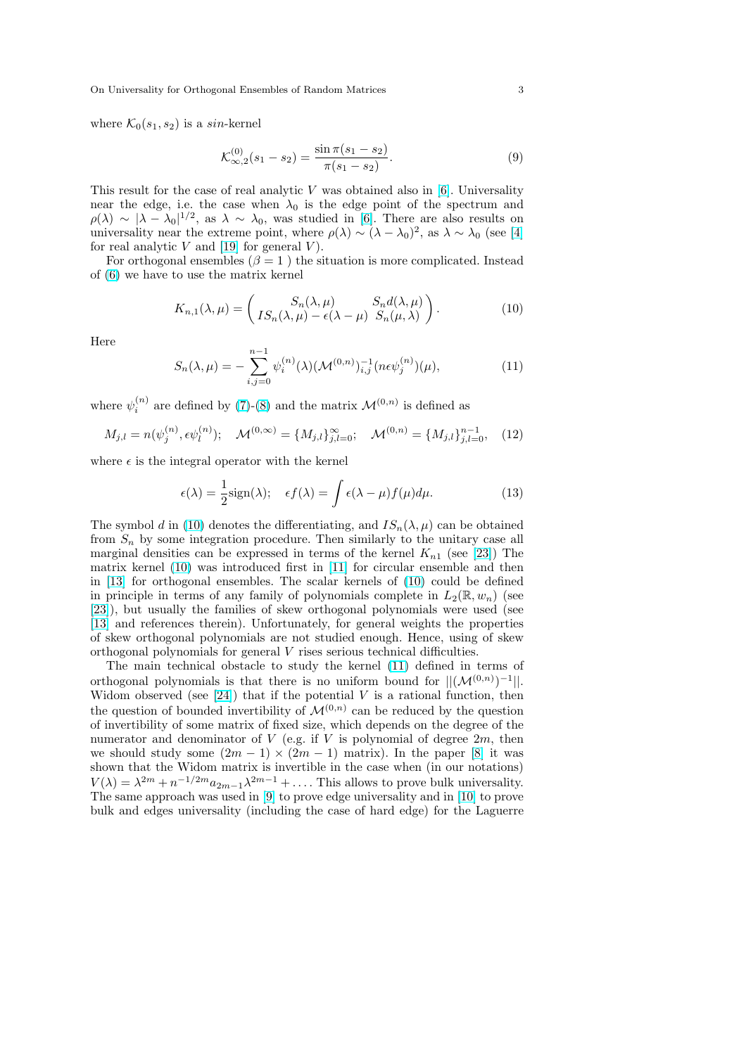<span id="page-2-0"></span>where  $\mathcal{K}_0(s_1, s_2)$  is a sin-kernel

$$
\mathcal{K}^{(0)}_{\infty,2}(s_1 - s_2) = \frac{\sin \pi (s_1 - s_2)}{\pi (s_1 - s_2)}.
$$
\n(9)

This result for the case of real analytic V was obtained also in  $[6]$ . Universality near the edge, i.e. the case when  $\lambda_0$  is the edge point of the spectrum and  $\rho(\lambda) \sim |\lambda - \lambda_0|^{1/2}$ , as  $\lambda \sim \lambda_0$ , was studied in [6]. There are also results on universality near the extreme point, where  $\rho(\lambda) \sim (\lambda - \lambda_0)^2$ , as  $\lambda \sim \lambda_0$  (see [4] for real analytic  $V$  and [19] for general  $V$ ).

For orthogonal ensembles ( $\beta = 1$ ) the situation is more com[plic](#page-17-0)ated. Instead of (6) we have to use the matrix kernel

$$
K_{n,1}(\lambda,\mu) = \begin{pmatrix} S_n(\lambda,\mu) & S_n d(\lambda,\mu) \\ IS_n(\lambda,\mu) - \epsilon(\lambda - \mu) & S_n(\mu,\lambda) \end{pmatrix}.
$$
 (10)

He[re](#page-1-0)

$$
S_n(\lambda, \mu) = -\sum_{i,j=0}^{n-1} \psi_i^{(n)}(\lambda) (\mathcal{M}^{(0,n)})_{i,j}^{-1} (n \epsilon \psi_j^{(n)}) (\mu), \tag{11}
$$

where  $\psi_i^{(n)}$  are defined by (7)-(8) and the matrix  $\mathcal{M}^{(0,n)}$  is defined as

$$
M_{j,l} = n(\psi_j^{(n)}, \epsilon \psi_l^{(n)}); \quad \mathcal{M}^{(0,\infty)} = \{M_{j,l}\}_{j,l=0}^{\infty}; \quad \mathcal{M}^{(0,n)} = \{M_{j,l}\}_{j,l=0}^{n-1}, \quad (12)
$$

where  $\epsilon$  is the integral ope[rat](#page-1-0)o[r w](#page-1-0)ith the kernel

$$
\epsilon(\lambda) = \frac{1}{2}\text{sign}(\lambda); \quad \epsilon f(\lambda) = \int \epsilon(\lambda - \mu) f(\mu) d\mu.
$$
 (13)

The symbol d in (10) denotes the differentiating, and  $IS_n(\lambda, \mu)$  can be obtained from  $S_n$  by some integration procedure. Then similarly to the unitary case all marginal densities can be expressed in terms of the kernel  $K_{n1}$  (see [23]) The matrix kernel  $(10)$  was introduced first in [11] for circular ensemble and then in [13] for orthogonal ensembles. The scalar kernels of (10) could be defined in principle in terms of any family of polynomials complete in  $L_2(\mathbb{R}, w_n)$  (see [23]), but usually the families of skew orthogonal polynomials were [used](#page-18-0) (see [13] and references therein). Unfortunately, [for](#page-17-0) general weights the properties of [skew](#page-17-0) orthogonal polynomials are not studied enough. Hence, using of skew orthogonal polynomials for general V rises serious technical difficulties.

The main technical obstacle to study the kernel (11) defined in terms of [orth](#page-17-0)ogonal polynomials is that there is no uniform bound for  $||(\mathcal{M}^{(0,n)})^{-1}||$ . Widom observed (see  $[24]$ ) that if the potential V is a rational function, then the question of bounded invertibility of  $\mathcal{M}^{(0,n)}$  can be reduced by the question of invertibility of some matrix of fixed size, which depends on the degree of the numerator and denominator of  $V$  (e.g. if  $V$  is polynomial of degree  $2m$ , then we should study some  $(2m - 1) \times (2m - 1)$  $(2m - 1) \times (2m - 1)$  $(2m - 1) \times (2m - 1)$  matrix). In the paper [8] it was shown that the Widom matrix is invertible in the case when (in our notations)  $V(\lambda) = \lambda^{2m} + n^{-1/2m} a_{2m-1} \lambda^{2m-1} + \dots$  This allows to prove bulk universality. The same approach was used in [9] to prove edge universality and in [10] to prove bulk and edges universality (including the case of hard edge) for the [L](#page-17-0)aguerre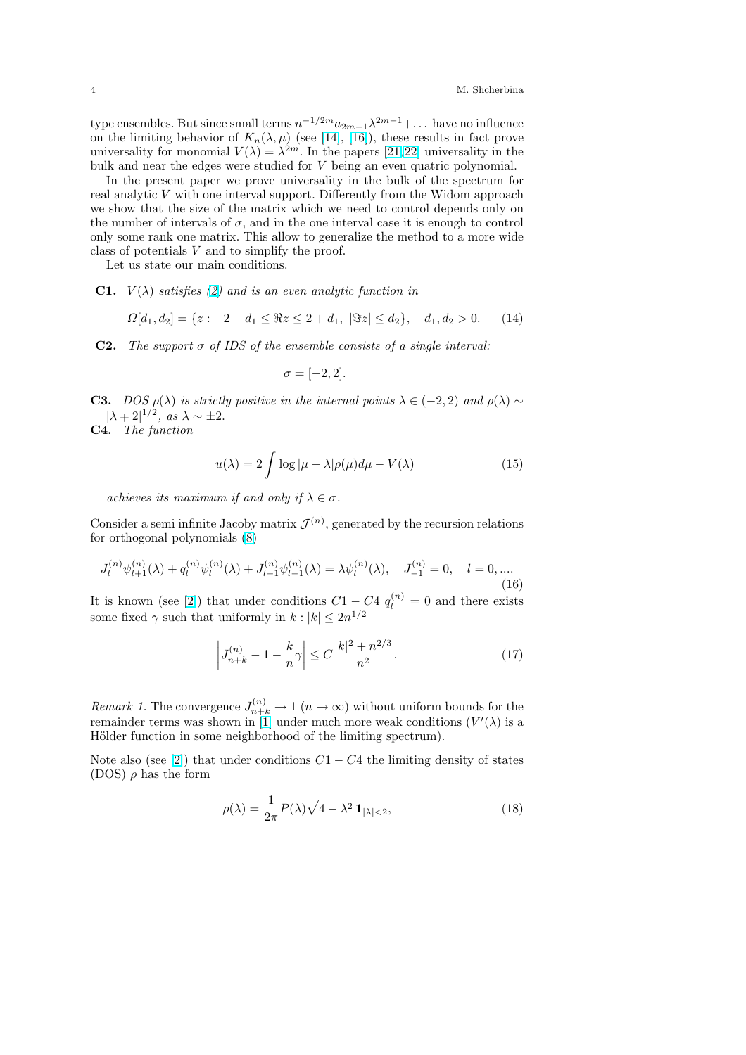<span id="page-3-0"></span>type ensembles. But since small terms  $n^{-1/2m}a_{2m-1}\lambda^{2m-1}+\dots$  have no influence on the limiting behavior of  $K_n(\lambda, \mu)$  (see [14], [16]), these results in fact prove universality for monomial  $V(\lambda) = \lambda^{2m}$ . In the papers [21, 22] universality in the bulk and near the edges were studied for V being an even quatric polynomial.

In the present paper we prove universality in the bulk of the spectrum for real analytic V with one interval support. [Diff](#page-17-0)er[ent](#page-17-0)ly from the Widom approach we show that the size of the matrix which we need t[o contr](#page-18-0)ol depends only on the number of intervals of  $\sigma$ , and in the one interval case it is enough to control only some rank one matrix. This allow to generalize the method to a more wide class of potentials V and to simplify the proof.

Let us state our main conditions.

**C1.**  $V(\lambda)$  satisfies (2) and is an even analytic function in

$$
\Omega[d_1, d_2] = \{ z : -2 - d_1 \leq \Re z \leq 2 + d_1, \, |\Im z| \leq d_2 \}, \, d_1, d_2 > 0. \tag{14}
$$

**C2.** The support  $\sigma$  [of](#page-0-0) IDS of the ensemble consists of a single interval:

$$
\sigma = [-2, 2].
$$

**C3.** DOS  $\rho(\lambda)$  is strictly positive in the internal points  $\lambda \in (-2, 2)$  and  $\rho(\lambda) \sim$  $|\lambda \mp 2|^{1/2}$ , as  $\lambda \sim \pm 2$ .

C4. The function

$$
u(\lambda) = 2 \int \log|\mu - \lambda| \rho(\mu) d\mu - V(\lambda)
$$
 (15)

achieves its maximum if and only if  $\lambda \in \sigma$ .

Consider a semi infinite Jacoby matrix  $\mathcal{J}^{(n)}$ , generated by the recursion relations for orthogonal polynomials (8)

$$
J_l^{(n)}\psi_{l+1}^{(n)}(\lambda) + q_l^{(n)}\psi_l^{(n)}(\lambda) + J_{l-1}^{(n)}\psi_{l-1}^{(n)}(\lambda) = \lambda \psi_l^{(n)}(\lambda), \quad J_{-1}^{(n)} = 0, \quad l = 0, \dots
$$
\n(16)

It is known (see [2]) that u[nd](#page-1-0)er conditions  $C1 - C4 q_l^{(n)} = 0$  and there exists some fixed  $\gamma$  such that uniformly in  $k : |k| \leq 2n^{1/2}$ 

$$
\left| J_{n+k}^{(n)} - 1 - \frac{k}{n} \gamma \right| \le C \frac{|k|^2 + n^{2/3}}{n^2}.
$$
 (17)

*Remark 1*. The convergence  $J_{n+k}^{(n)} \to 1$   $(n \to \infty)$  without uniform bounds for the remainder terms was shown in [1] under much more weak conditions  $(V'(\lambda))$  is a Hölder function in some neighborhood of the limiting spectrum).

Note also (see [2]) that under conditions  $C_1 - C_4$  the limiting density of states (DOS)  $\rho$  has the form

$$
\rho(\lambda) = \frac{1}{2\pi} P(\lambda) \sqrt{4 - \lambda^2} \mathbf{1}_{|\lambda| < 2},\tag{18}
$$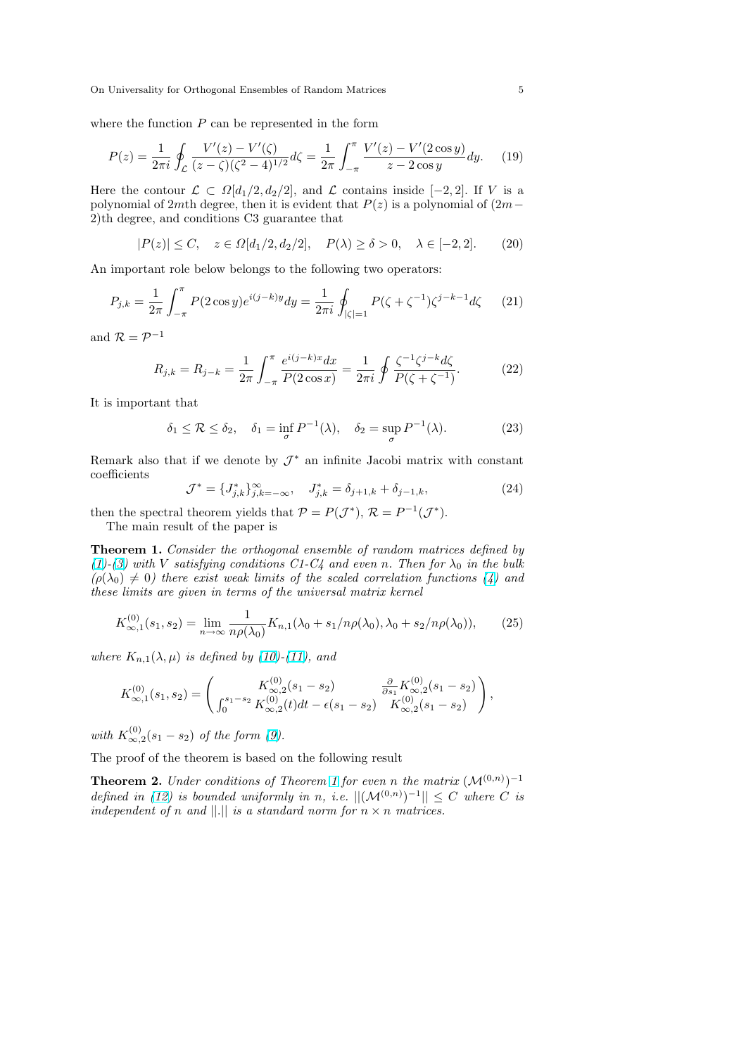<span id="page-4-0"></span>On Universality for Orthogonal Ensembles of Random Matrices 5

where the function  $P$  can be represented in the form

$$
P(z) = \frac{1}{2\pi i} \oint_{\mathcal{L}} \frac{V'(z) - V'(\zeta)}{(z - \zeta)(\zeta^2 - 4)^{1/2}} d\zeta = \frac{1}{2\pi} \int_{-\pi}^{\pi} \frac{V'(z) - V'(2\cos y)}{z - 2\cos y} dy.
$$
 (19)

Here the contour  $\mathcal{L} \subset \Omega[d_1/2, d_2/2]$ , and  $\mathcal{L}$  contains inside [-2, 2]. If V is a polynomial of 2mth degree, then it is evident that  $P(z)$  is a polynomial of  $(2m−)$ 2)th degree, and conditions C3 guarantee that

$$
|P(z)| \le C, \quad z \in \Omega[d_1/2, d_2/2], \quad P(\lambda) \ge \delta > 0, \quad \lambda \in [-2, 2]. \tag{20}
$$

An important role below belongs to the following two operators:

$$
P_{j,k} = \frac{1}{2\pi} \int_{-\pi}^{\pi} P(2\cos y) e^{i(j-k)y} dy = \frac{1}{2\pi i} \oint_{|\zeta|=1} P(\zeta + \zeta^{-1}) \zeta^{j-k-1} d\zeta \tag{21}
$$

and  $\mathcal{R} = \mathcal{P}^{-1}$ 

$$
R_{j,k} = R_{j-k} = \frac{1}{2\pi} \int_{-\pi}^{\pi} \frac{e^{i(j-k)x} dx}{P(2\cos x)} = \frac{1}{2\pi i} \oint \frac{\zeta^{-1} \zeta^{j-k} d\zeta}{P(\zeta + \zeta^{-1})}.
$$
 (22)

It is important that

$$
\delta_1 \le \mathcal{R} \le \delta_2, \quad \delta_1 = \inf_{\sigma} P^{-1}(\lambda), \quad \delta_2 = \sup_{\sigma} P^{-1}(\lambda). \tag{23}
$$

Remark also that if we denote by  $\mathcal{J}^*$  an infinite Jacobi matrix with constant coefficients

$$
\mathcal{J}^* = \{J_{j,k}^*\}_{j,k=-\infty}^\infty, \quad J_{j,k}^* = \delta_{j+1,k} + \delta_{j-1,k},\tag{24}
$$

then the spectral theorem yields that  $P = P(\mathcal{J}^*), R = P^{-1}(\mathcal{J}^*).$ 

The main result of the paper is

Theorem 1. Consider the orthogonal ensemble of random matrices defined by (1)-(3) with V satisfying conditions C1-C4 and even n. Then for  $\lambda_0$  in the bulk  $(\rho(\lambda_0) \neq 0)$  there exist weak limits of the scaled correlation functions (4) and these limits are given in terms of the universal matrix kernel

$$
K_{\infty,1}^{(0)}(s_1, s_2) = \lim_{n \to \infty} \frac{1}{n\rho(\lambda_0)} K_{n,1}(\lambda_0 + s_1/n\rho(\lambda_0), \lambda_0 + s_2/n\rho(\lambda_0)),\tag{25}
$$

where  $K_{n,1}(\lambda,\mu)$  is defined by (10)-(11), and

$$
K_{\infty,1}^{(0)}(s_1,s_2)=\left(\begin{matrix}K_{\infty,2}^{(0)}(s_1-s_2) & \frac{\partial}{\partial s_1}K_{\infty,2}^{(0)}(s_1-s_2) \\ \int_0^{s_1-s_2}K_{\infty,2}^{(0)}(t)dt-\epsilon(s_1-s_2) & K_{\infty,2}^{(0)}(s_1-s_2)\end{matrix}\right),
$$

with  $K_{\infty,2}^{(0)}(s_1-s_2)$  of the form (9).

The proof of the theorem is based on the following result

**Theorem 2.** Under conditions of Theorem 1 for even n the matrix  $(\mathcal{M}^{(0,n)})^{-1}$ defined in (12) is bounded unifo[rm](#page-2-0)ly in n, i.e.  $||(\mathcal{M}^{(0,n)})^{-1}|| \leq C$  where C is independent of n and  $||.||$  is a standard norm for  $n \times n$  matrices.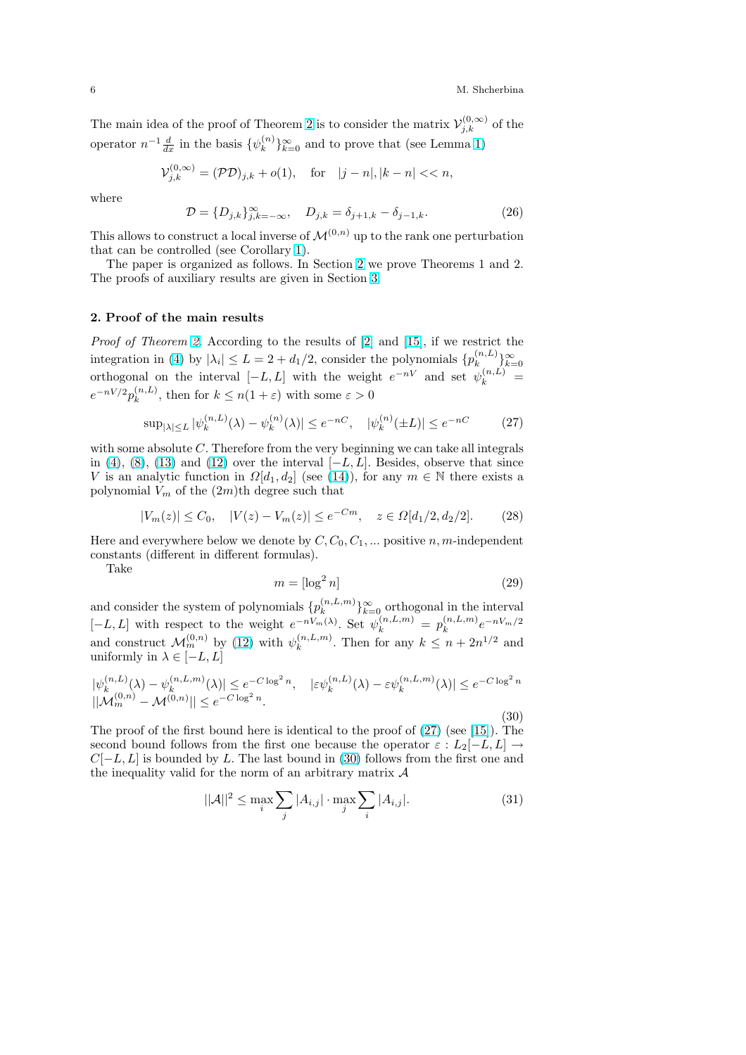<span id="page-5-0"></span>The main idea of the proof of Theorem 2 is to consider the matrix  $\mathcal{V}_{j,k}^{(0,\infty)}$  of the operator  $n^{-1} \frac{d}{dx}$  in the basis  $\{\psi_k^{(n)}\}$  ${k \choose k}_{k=0}^{\infty}$  and to prove that (see Lemma 1)

$$
\mathcal{V}_{j,k}^{(0,\infty)} = (\mathcal{PD})_{j,k} + o(1), \quad \text{for} \quad |j - n|, |k - n| < n,
$$

where

$$
\mathcal{D} = \{D_{j,k}\}_{j,k=-\infty}^{\infty}, \quad D_{j,k} = \delta_{j+1,k} - \delta_{j-1,k}.
$$
 (26)

This allows to construct a local inverse of  $\mathcal{M}^{(0,n)}$  up to the rank one perturbation that can be controlled (see Corollary 1).

The paper is organized as follows. In Section 2 we prove Theorems 1 and 2. The proofs of auxiliary results are given in Section 3.

## 2. Proof of the main results

Proof of Theorem 2. According to the results of [[2\]](#page-14-0) and [15], if we restrict the integration in (4) by  $|\lambda_i| \leq L = 2 + d_1/2$ , consider the polynomials  $\{p_k^{(n,L)}\}$  $\binom{n,L}{k}\}_{k=0}^{\infty}$ orthogonal on the interval  $[-L, L]$  with the weight  $e^{-nV}$  and set  $\psi_k^{(n,L)}$  =  $e^{-nV/2}p_k^{(n,L)}$  $\binom{n,L}{k}$ , then [fo](#page-4-0)r  $k \leq n(1+\varepsilon)$  with some  $\varepsilon > 0$  $\varepsilon > 0$ 

$$
\sup_{|\lambda| \le L} |\psi_k^{(n,L)}(\lambda) - \psi_k^{(n)}(\lambda)| \le e^{-nC}, \quad |\psi_k^{(n)}(\pm L)| \le e^{-nC} \tag{27}
$$

with some absolute C. Therefore from the very beginning we can take all integrals in (4), (8), (13) and (12) over the interval  $[-L, L]$ . Besides, observe that since V is an analytic function in  $\Omega[d_1, d_2]$  (see (14)), for any  $m \in \mathbb{N}$  there exists a polynomial  $V_m$  of the  $(2m)$ <sup>th</sup> degree such that

$$
|V_m(z)| \le C_0, \quad |V(z) - V_m(z)| \le e^{-Cm}, \quad z \in \Omega[d_1/2, d_2/2]. \tag{28}
$$

Here and everywhere below we denote by  $C, C_0, C_1, \ldots$  $C, C_0, C_1, \ldots$  $C, C_0, C_1, \ldots$  positive  $n, m$ -independent constants (different in different formulas).

Take

$$
m = \left[\log^2 n\right] \tag{29}
$$

and consider the system of polynomials  $\{p_k^{(n,L,m)}\}$  ${k(n,L,m) \brace k=0}^{\infty}$  orthogonal in the interval  $[-L, L]$  with respect to the weight  $e^{-nV_m(\lambda)}$ . Set  $\psi_k^{(n, L, m)} = p_k^{(n, L, m)}$  ${k^{(n,L,m)}e^{-nV_m/2}}$ and construct  $\mathcal{M}_m^{(0,n)}$  by (12) with  $\psi_k^{(n,L,m)}$  $\binom{n,L,m}{k}$ . Then for any  $k \leq n + 2n^{1/2}$  and uniformly in  $\lambda \in [-L, L]$ 

$$
\begin{aligned} |\psi_k^{(n,L)}(\lambda) - \psi_k^{(n,L,m)}(\lambda)| &\le e^{-C \log^2 n}, \quad |\varepsilon \psi_k^{(n,L)}(\lambda) - \varepsilon \psi_k^{(n,L,m)}(\lambda)| \le e^{-C \log^2 n} \\ ||\mathcal{M}_m^{(0,n)} - \mathcal{M}^{(0,n)}|| &\le e^{-C \log^2 n} . \end{aligned} \tag{30}
$$

The proof of the first bound here is identical to the proof of (27) (see [15]). The second bound follows from the first one because the operator  $\varepsilon : L_2[-L, L] \rightarrow$  $C[-L, L]$  is bounded by L. The last bound in (30) follows from the first one and the inequality valid for the norm of an arbitrary matrix  $\mathcal A$ 

$$
||\mathcal{A}||^2 \le \max_i \sum_j |A_{i,j}| \cdot \max_j \sum_i |A_{i,j}|.
$$
 (31)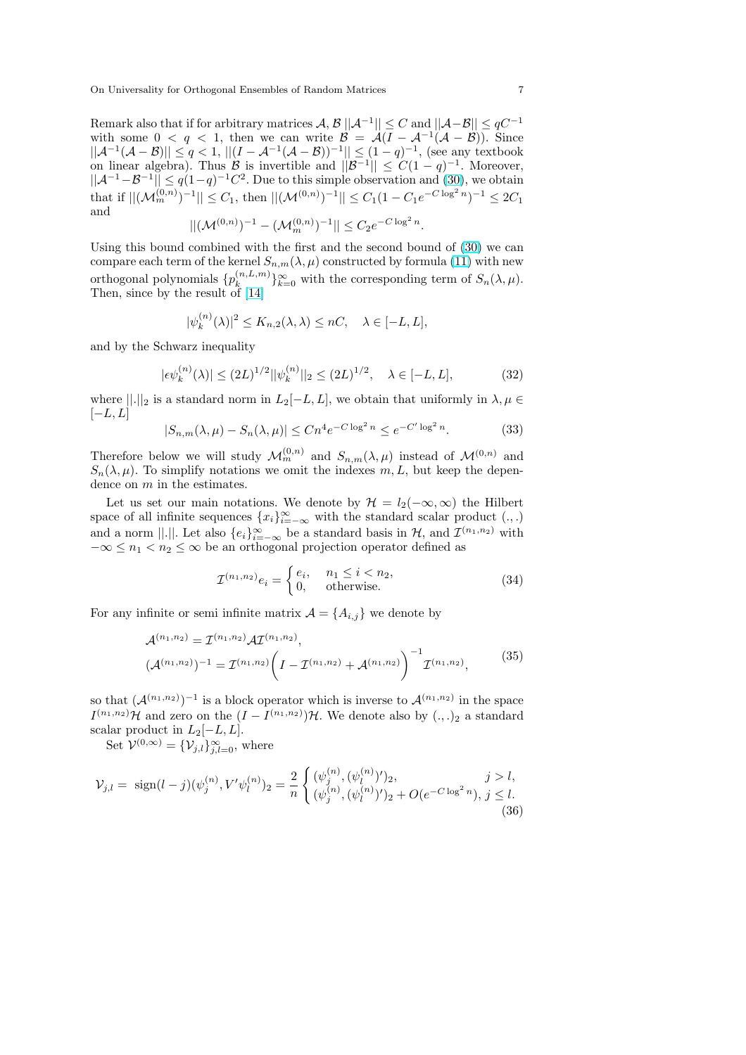Remark also that if for arbitrary matrices  $\mathcal{A}, \mathcal{B}||\mathcal{A}^{-1}|| \leq C$  and  $||\mathcal{A} - \mathcal{B}|| \leq qC^{-1}$ with some  $0 < q < 1$ , then we can write  $\mathcal{B} = \mathcal{A}(I - \mathcal{A}^{-1}(\mathcal{A} - \mathcal{B}))$ . Since  $||A^{-1}(A-B)|| \leq q < 1, ||(I - A^{-1}(A-B))^{-1}|| \leq (1-q)^{-1}$ , (see any textbook on linear algebra). Thus B is invertible and  $||\mathcal{B}^{-1}|| \leq C(1-q)^{-1}$ . Moreover,  $||A^{-1}-B^{-1}|| \leq q(1-q)^{-1}C^2$ . Due to this simple observation and (30), we obtain that if  $||(\mathcal{M}_m^{(0,n)})^{-1}|| \leq C_1$ , then  $||(\mathcal{M}^{(0,n)})^{-1}|| \leq C_1(1-C_1e^{-C\log^2 n})^{-1} \leq 2C_1$ and

$$
||(\mathcal{M}^{(0,n)})^{-1} - (\mathcal{M}_m^{(0,n)})^{-1}|| \leq C_2 e^{-C \log^2 n}.
$$

Using this bound combined with the first and the second bound [of \(](#page-5-0)30) we can compare each term of the kernel  $S_{n,m}(\lambda,\mu)$  constructed by formula (11) with new orthogonal polynomials  $\{p_k^{(n,L,m)}\}$  ${k,n,\ldots} \atop{k=0}^{\infty}$  with the corresponding term of  $S_n(\lambda,\mu)$ . Then, since by the result of [14]

$$
|\psi_k^{(n)}(\lambda)|^2 \le K_{n,2}(\lambda,\lambda) \le nC, \quad \lambda \in [-L,L],
$$

and by the Schwarz inequali[ty](#page-17-0)

$$
|\epsilon \psi_k^{(n)}(\lambda)| \le (2L)^{1/2} ||\psi_k^{(n)}||_2 \le (2L)^{1/2}, \quad \lambda \in [-L, L],
$$
 (32)

where  $\|.\|_2$  is a standard norm in  $L_2[-L, L]$ , we obtain that uniformly in  $\lambda, \mu \in$  $[-L, L]$ 

$$
|S_{n,m}(\lambda,\mu) - S_n(\lambda,\mu)| \le Cn^4 e^{-C \log^2 n} \le e^{-C' \log^2 n}.
$$
 (33)

Therefore below we will study  $\mathcal{M}_m^{(0,n)}$  and  $S_{n,m}(\lambda,\mu)$  instead of  $\mathcal{M}^{(0,n)}$  and  $S_n(\lambda, \mu)$ . To simplify notations we omit the indexes m, L, but keep the dependence on m in the estimates.

Let us set our main notations. We denote by  $\mathcal{H} = l_2(-\infty, \infty)$  the Hilbert space of all infinite sequences  ${x_i}_{i=-\infty}^{\infty}$  with the standard scalar product  $(.,.)$ and a norm ||.||. Let also  $\{e_i\}_{i=-\infty}^{\infty}$  be a standard basis in  $\mathcal{H}$ , and  $\mathcal{I}^{(n_1,n_2)}$  with  $-\infty \leq n_1 < n_2 \leq \infty$  be an orthogonal projection operator defined as

$$
\mathcal{I}^{(n_1,n_2)}e_i = \begin{cases} e_i, & n_1 \leq i < n_2, \\ 0, & \text{otherwise.} \end{cases} \tag{34}
$$

For any infinite or semi infinite matrix  $\mathcal{A} = \{A_{i,j}\}\$ we denote by

$$
\mathcal{A}^{(n_1,n_2)} = \mathcal{I}^{(n_1,n_2)} \mathcal{A} \mathcal{I}^{(n_1,n_2)},
$$
  

$$
(\mathcal{A}^{(n_1,n_2)})^{-1} = \mathcal{I}^{(n_1,n_2)} \left( I - \mathcal{I}^{(n_1,n_2)} + \mathcal{A}^{(n_1,n_2)} \right)^{-1} \mathcal{I}^{(n_1,n_2)},
$$
 (35)

so that  $(A^{(n_1,n_2)})^{-1}$  is a block operator which is inverse to  $A^{(n_1,n_2)}$  in the space  $I^{(n_1,n_2)}\mathcal{H}$  and zero on the  $(I - I^{(n_1,n_2)})\mathcal{H}$ . We denote also by  $(.,.)_2$  a standard scalar product in  $L_2[-L, L]$ .

Set  $\mathcal{V}^{(0,\infty)} = {\mathcal{V}_{j,l}}_{j,l=0}^{\infty}$ , where

$$
\mathcal{V}_{j,l} = \text{sign}(l-j)(\psi_j^{(n)}, V'\psi_l^{(n)})_2 = \frac{2}{n} \begin{cases} (\psi_j^{(n)}, (\psi_l^{(n)})')_2, & j > l, \\ (\psi_j^{(n)}, (\psi_l^{(n)})')_2 + O(e^{-C \log^2 n}), & j \le l. \end{cases}
$$
(36)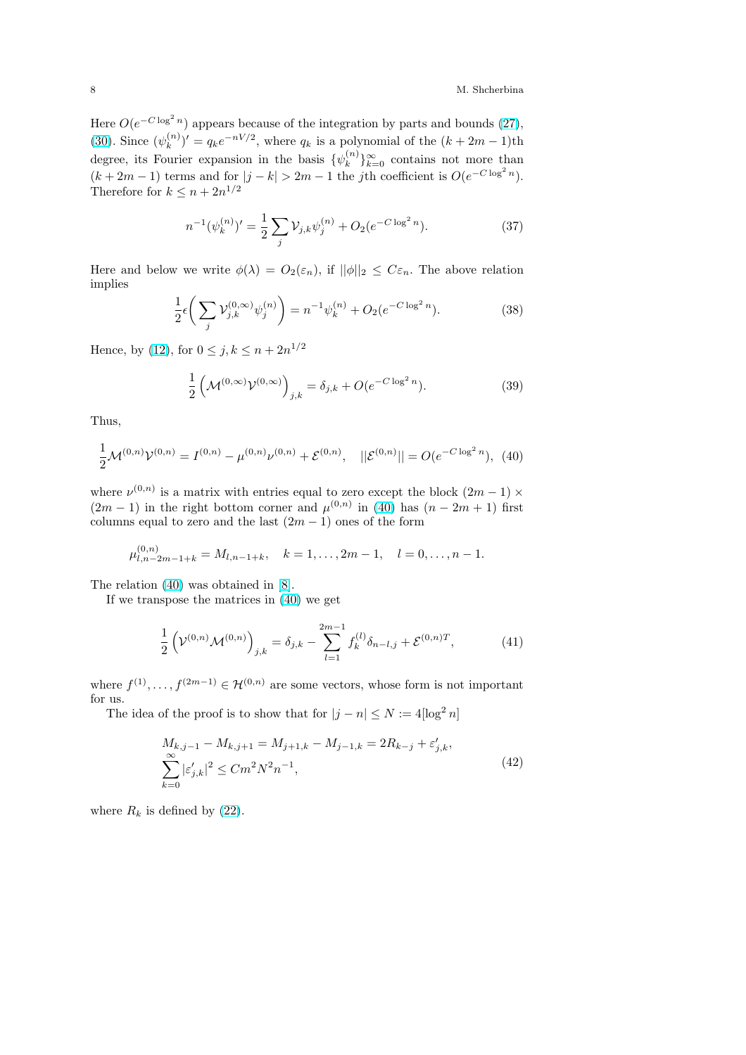<span id="page-7-0"></span>Here  $O(e^{-C \log^2 n})$  appears because of the integration by parts and bounds (27), (30). Since  $(\psi_k^{(n)})$  $(k \choose k) = q_k e^{-nV/2}$ , where  $q_k$  is a polynomial of the  $(k + 2m - 1)$ th degree, its Fourier expansion in the basis  $\{\psi_k^{(n)}\}$  ${k \choose k}$ <sub>k=0</sub> contains not more than  $(k+2m-1)$  $(k+2m-1)$  terms and for  $|j-k| > 2m-1$  the jth coefficient is  $O(e^{-C \log^2 n})$ . [The](#page-5-0)refore for  $k \leq n + 2n^{1/2}$ 

$$
n^{-1}(\psi_k^{(n)})' = \frac{1}{2} \sum_j \mathcal{V}_{j,k} \psi_j^{(n)} + O_2(e^{-C \log^2 n}).
$$
\n(37)

Here and below we write  $\phi(\lambda) = O_2(\varepsilon_n)$ , if  $||\phi||_2 \leq C \varepsilon_n$ . The above relation implies  $\mathbf{r}$ 

$$
\frac{1}{2}\epsilon \bigg(\sum_{j} \mathcal{V}_{j,k}^{(0,\infty)} \psi_j^{(n)}\bigg) = n^{-1} \psi_k^{(n)} + O_2(e^{-C \log^2 n}).\tag{38}
$$

Hence, by (12), for  $0 \le j, k \le n + 2n^{1/2}$ 

$$
\frac{1}{2} \left( \mathcal{M}^{(0,\infty)} \mathcal{V}^{(0,\infty)} \right)_{j,k} = \delta_{j,k} + O(e^{-C \log^2 n}).
$$
 (39)

Thus,

$$
\frac{1}{2}\mathcal{M}^{(0,n)}\mathcal{V}^{(0,n)} = I^{(0,n)} - \mu^{(0,n)}\nu^{(0,n)} + \mathcal{E}^{(0,n)}, \quad ||\mathcal{E}^{(0,n)}|| = O(e^{-C\log^2 n}), \tag{40}
$$

where  $\nu^{(0,n)}$  is a matrix with entries equal to zero except the block  $(2m-1) \times$  $(2m-1)$  in the right bottom corner and  $\mu^{(0,n)}$  in (40) has  $(n-2m+1)$  first columns equal to zero and the last  $(2m - 1)$  ones of the form

$$
\mu_{l,n-2m-1+k}^{(0,n)} = M_{l,n-1+k}, \quad k = 1, \dots, 2m-1, \quad l = 0, \dots, n-1.
$$

The relation (40) was obtained in [8].

If we transpose the matrices in (40) we get

$$
\frac{1}{2} \left( \mathcal{V}^{(0,n)} \mathcal{M}^{(0,n)} \right)_{j,k} = \delta_{j,k} - \sum_{l=1}^{2m-1} f_k^{(l)} \delta_{n-l,j} + \mathcal{E}^{(0,n)T},\tag{41}
$$

where  $f^{(1)}, \ldots, f^{(2m-1)} \in \mathcal{H}^{(0,n)}$  are some vectors, whose form is not important for us.

The idea of the proof is to show that for  $|j - n| \le N := 4 \lceil \log^2 n \rceil$ 

$$
M_{k,j-1} - M_{k,j+1} = M_{j+1,k} - M_{j-1,k} = 2R_{k-j} + \varepsilon'_{j,k},
$$
  

$$
\sum_{k=0}^{\infty} |\varepsilon'_{j,k}|^2 \le Cm^2 N^2 n^{-1},
$$
 (42)

where  $R_k$  is defined by (22).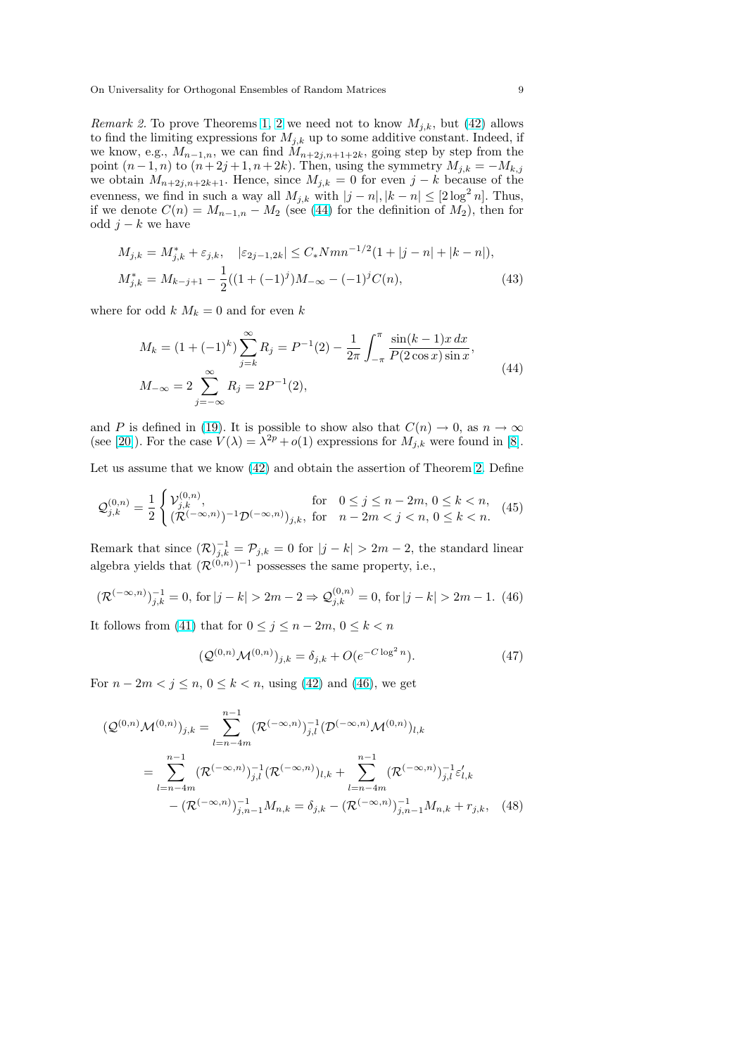<span id="page-8-0"></span>*Remark 2.* To prove Theorems 1, 2 we need not to know  $M_{i,k}$ , but (42) allows to find the limiting expressions for  $M_{j,k}$  up to some additive constant. Indeed, if we know, e.g.,  $M_{n-1,n}$ , we can find  $M_{n+2j,n+1+2k}$ , going step by step from the point  $(n-1, n)$  to  $(n+2j+1, n+2k)$ . Then, using the symmetry  $M_{j,k} = -M_{k,j}$ we obtain  $M_{n+2j,n+2k+1}$ . Henc[e, sin](#page-4-0)ce  $M_{j,k} = 0$  for even  $j - k$  bec[ause](#page-7-0) of the evenness, we find in such a way all  $M_{j,k}$  with  $|j - n|, |k - n| \leq [2 \log^2 n]$ . Thus, if we denote  $C(n) = M_{n-1,n} - M_2$  (see (44) for the definition of  $M_2$ ), then for odd  $j - k$  we have

$$
M_{j,k} = M_{j,k}^* + \varepsilon_{j,k}, \quad |\varepsilon_{2j-1,2k}| \le C_* N m n^{-1/2} (1+|j-n|+|k-n|),
$$
  

$$
M_{j,k}^* = M_{k-j+1} - \frac{1}{2} ((1+(-1)^j)M_{-\infty} - (-1)^j C(n),
$$
 (43)

where for odd  $k M_k = 0$  and for even k

$$
M_k = (1 + (-1)^k) \sum_{j=k}^{\infty} R_j = P^{-1}(2) - \frac{1}{2\pi} \int_{-\pi}^{\pi} \frac{\sin((k-1)x) \, dx}{P(2\cos x)\sin x},
$$
  

$$
M_{-\infty} = 2 \sum_{j=-\infty}^{\infty} R_j = 2P^{-1}(2),
$$
\n(44)

and P is defined in (19). It is possible to show also that  $C(n) \to 0$ , as  $n \to \infty$ (see [20]). For the case  $V(\lambda) = \lambda^{2p} + o(1)$  expressions for  $M_{j,k}$  were found in [8].

Let us assume that we know (42) and obtain the assertion of Theorem 2. Define

$$
\mathcal{Q}_{j,k}^{(0,n)} = \frac{1}{2} \begin{cases} \mathcal{V}_{j,k}^{(0,n)}, & \text{for} \quad 0 \le j \le n-2m, \ 0 \le k < n, \\ (\mathcal{R}^{(-\infty,n)})^{-1} \mathcal{D}^{(-\infty,n)})_{j,k}, & \text{for} \quad n-2m < j < n, \ 0 \le k < n. \end{cases} \tag{45}
$$

Remark that since  $(\mathcal{R})_{j,k}^{-1} = \mathcal{P}_{j,k} = 0$  for  $|j - k| > 2m - 2$ , the standard linear algebra yields that  $(\mathcal{R}^{(0,n)})^{-1}$  possesses the same property, i.e.,

$$
(\mathcal{R}^{(-\infty,n)})_{j,k}^{-1} = 0, \text{ for } |j - k| > 2m - 2 \Rightarrow \mathcal{Q}_{j,k}^{(0,n)} = 0, \text{ for } |j - k| > 2m - 1. (46)
$$

It follows from (41) that for  $0 \le j \le n-2m, 0 \le k < n$ 

$$
(\mathcal{Q}^{(0,n)} \mathcal{M}^{(0,n)})_{j,k} = \delta_{j,k} + O(e^{-C \log^2 n}).
$$
\n(47)

For  $n - 2m < j \le n, 0 \le k < n$ , using (42) and (46), we get

$$
\begin{split} (\mathcal{Q}^{(0,n)} \mathcal{M}^{(0,n)})_{j,k} &= \sum_{l=n-4m}^{n-1} (\mathcal{R}^{(-\infty,n)})_{j,l}^{-1} (\mathcal{D}^{(-\infty,n)} \mathcal{M}^{(0,n)})_{l,k} \\ &= \sum_{l=n-4m}^{n-1} (\mathcal{R}^{(-\infty,n)})_{j,l}^{-1} (\mathcal{R}^{(-\infty,n)})_{l,k} + \sum_{l=n-4m}^{n-1} (\mathcal{R}^{(-\infty,n)})_{j,l}^{-1} \varepsilon'_{l,k} \\ &- (\mathcal{R}^{(-\infty,n)})_{j,n-1}^{-1} M_{n,k} = \delta_{j,k} - (\mathcal{R}^{(-\infty,n)})_{j,n-1}^{-1} M_{n,k} + r_{j,k}, \end{split} \tag{48}
$$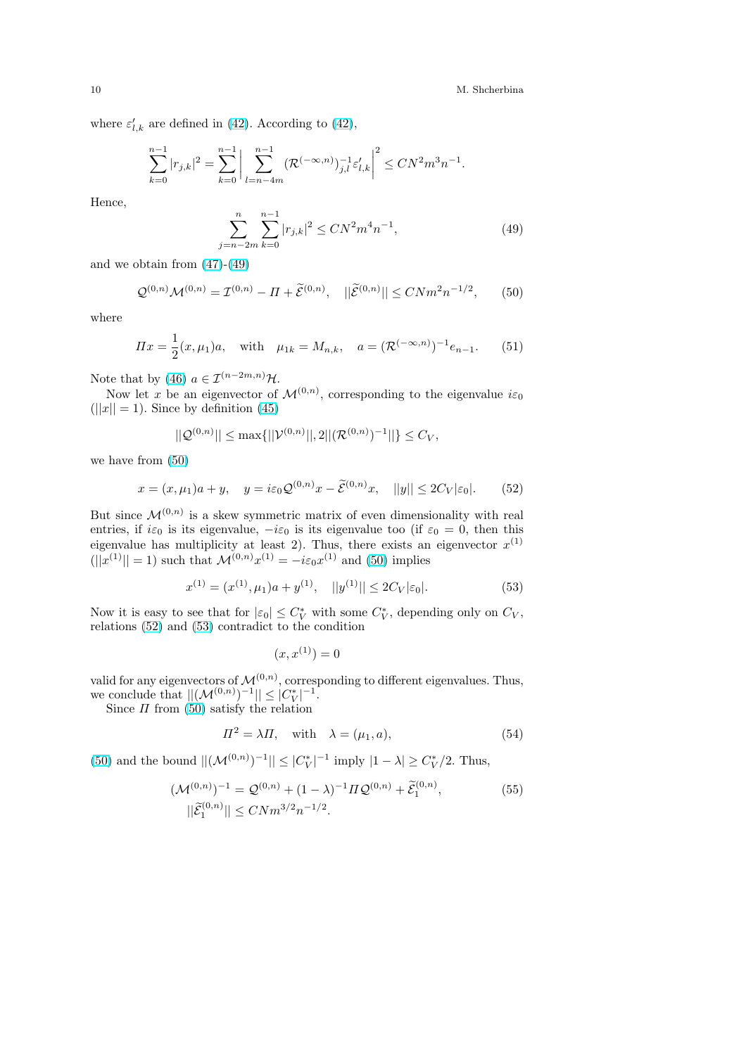<span id="page-9-0"></span>where  $\varepsilon'_{l,k}$  are defined in (42). According to (42),

$$
\sum_{k=0}^{n-1}|r_{j,k}|^2=\sum_{k=0}^{n-1}\bigg|\sum_{l=n-4m}^{n-1}(\mathcal{R}^{(-\infty,n)})^{-1}_{j,l}\varepsilon_{l,k}'\bigg|^2\leq CN^2m^3n^{-1}.
$$

Hence,

$$
\sum_{j=n-2m}^{n} \sum_{k=0}^{n-1} |r_{j,k}|^2 \le CN^2 m^4 n^{-1},\tag{49}
$$

and we obtain from  $(47)-(49)$ 

$$
\mathcal{Q}^{(0,n)}\mathcal{M}^{(0,n)} = \mathcal{I}^{(0,n)} - \Pi + \widetilde{\mathcal{E}}^{(0,n)}, \quad ||\widetilde{\mathcal{E}}^{(0,n)}|| \leq CNm^2n^{-1/2},\qquad(50)
$$

where

$$
\Pi x = \frac{1}{2}(x, \mu_1)a, \quad \text{with} \quad \mu_{1k} = M_{n,k}, \quad a = (\mathcal{R}^{(-\infty, n)})^{-1}e_{n-1}.
$$
 (51)

Note that by (46)  $a \in \mathcal{I}^{(n-2m,n)}\mathcal{H}$ .

Now let x be an eigenvector of  $\mathcal{M}^{(0,n)}$ , corresponding to the eigenvalue  $i\varepsilon_0$  $(||x|| = 1)$ . Since by definition (45)

$$
||Q^{(0,n)}|| \le \max\{||\mathcal{V}^{(0,n)}||, 2||(\mathcal{R}^{(0,n)})^{-1}||\} \le C_V,
$$

we have from (50)

$$
x = (x, \mu_1)a + y, \quad y = i\varepsilon_0 \mathcal{Q}^{(0,n)} x - \tilde{\mathcal{E}}^{(0,n)} x, \quad ||y|| \le 2C_V |\varepsilon_0|. \tag{52}
$$

But since  $\mathcal{M}^{(0,n)}$  is a skew symmetric matrix of even dimensionality with real entries, if  $i\varepsilon_0$  is its eigenvalue,  $-i\varepsilon_0$  is its eigenvalue too (if  $\varepsilon_0 = 0$ , then this eigenvalue has multiplicity at least 2). Thus, there exists an eigenvector  $x^{(1)}$  $(||x^{(1)}|| = 1)$  such that  $\mathcal{M}^{(0,n)}x^{(1)} = -i\varepsilon_0 x^{(1)}$  and (50) implies

$$
x^{(1)} = (x^{(1)}, \mu_1)a + y^{(1)}, \quad ||y^{(1)}|| \le 2C_V|\varepsilon_0|.
$$
 (53)

Now it is easy to see that for  $|\varepsilon_0| \leq C_V^*$  with some  $C_V^*$ , depending only on  $C_V$ , relations (52) and (53) contradict to the condition

 $(x, x^{(1)}) = 0$ 

valid for any eigenvectors of  $\mathcal{M}^{(0,n)}$ , corresponding to different eigenvalues. Thus, we conclude that  $||(\mathcal{M}^{(0,n)})^{-1}|| \leq |C_V^*|^{-1}$ .

Since  $\Pi$  from (50) satisfy the relation

$$
\Pi^2 = \lambda \Pi, \quad \text{with} \quad \lambda = (\mu_1, a), \tag{54}
$$

(50) and the bound  $||(\mathcal{M}^{(0,n)})^{-1}|| \leq |C_V^*|^{-1}$  imply  $|1 - \lambda| \geq C_V^*/2$ . Thus,

$$
(\mathcal{M}^{(0,n)})^{-1} = \mathcal{Q}^{(0,n)} + (1 - \lambda)^{-1} \Pi \mathcal{Q}^{(0,n)} + \tilde{\mathcal{E}}_1^{(0,n)},
$$
  
 
$$
||\tilde{\mathcal{E}}_1^{(0,n)}|| \leq CNm^{3/2} n^{-1/2}.
$$
 (55)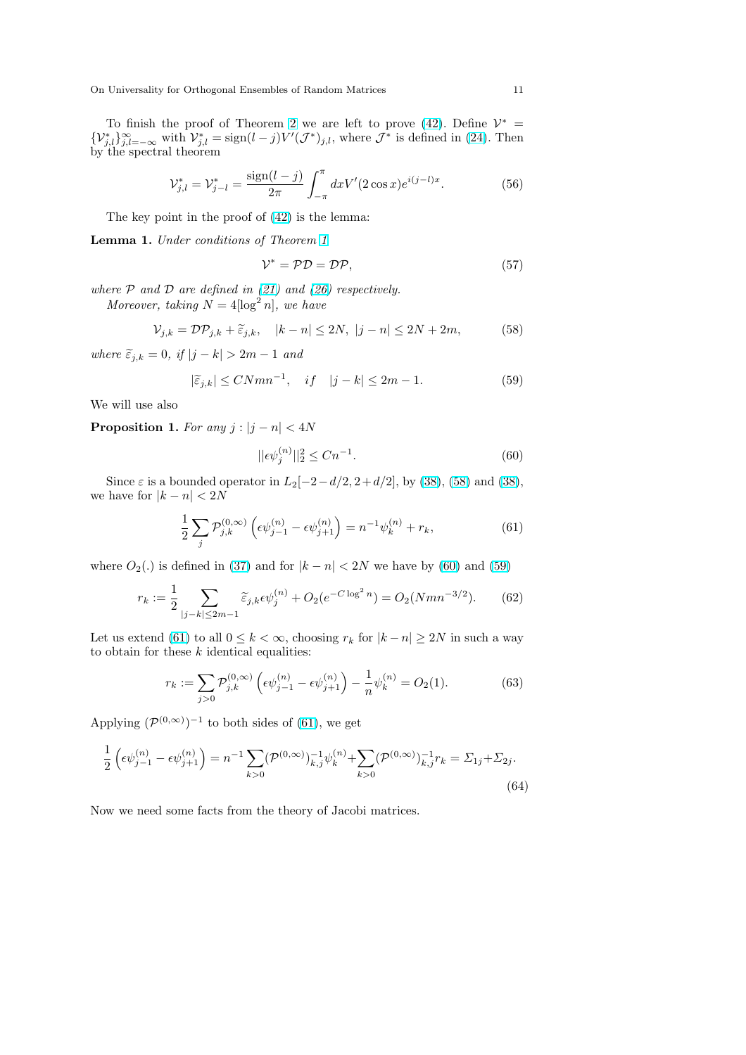<span id="page-10-0"></span>To finish the proof of Theorem 2 we are left to prove (42). Define  $\mathcal{V}^* =$  $\{V_{j,l}^*\}_{j,l=-\infty}^{\infty}$  with  $V_{j,l}^* = \text{sign}(l-j)V'(\mathcal{J}^*)_{j,l}$ , where  $\mathcal{J}^*$  is defined in (24). Then by the spectral theorem

$$
\mathcal{V}_{j,l}^{*} = \mathcal{V}_{j-l}^{*} = \frac{\text{sign}(l-j)}{2\pi} \int_{-\pi}^{\pi} dx V'(2\cos x) e^{i(j-l)x}.
$$
 (56)

The key point in the proof of (42) is the lemma:

Lemma 1. Under conditions of Theorem 1

$$
\mathcal{V}^* = \mathcal{PD} = \mathcal{DP},\tag{57}
$$

where  $P$  and  $D$  are defined in (2[1\) a](#page-7-0)nd (26) respectively. Moreo[ve](#page-4-0)r, taking  $N = 4 \log^2 n$ , we have

$$
\mathcal{V}_{j,k} = \mathcal{DP}_{j,k} + \widetilde{\varepsilon}_{j,k}, \quad |k - n| \le 2N, \ |j - n| \le 2N + 2m, \tag{58}
$$

where  $\widetilde{\varepsilon}_{j,k} = 0$ , if  $|j - k| > 2m - 1$  and

$$
|\tilde{\varepsilon}_{j,k}| \le CNmn^{-1}, \quad if \quad |j-k| \le 2m-1. \tag{59}
$$

We will use also

**Proposition 1.** For any  $j : |j - n| < 4N$ 

$$
||\epsilon \psi_j^{(n)}||_2^2 \le Cn^{-1}.\tag{60}
$$

Since  $\varepsilon$  is a bounded operator in  $L_2[-2-d/2, 2+d/2]$ , by (38), (58) and (38), we have for  $|k - n| < 2N$ 

$$
\frac{1}{2} \sum_{j} \mathcal{P}_{j,k}^{(0,\infty)} \left( \epsilon \psi_{j-1}^{(n)} - \epsilon \psi_{j+1}^{(n)} \right) = n^{-1} \psi_k^{(n)} + r_k,
$$
\n(61)

where  $O_2(.)$  is defined in (37) and for  $|k - n| < 2N$  we have by (60) and (59)

$$
r_k := \frac{1}{2} \sum_{|j-k| \le 2m-1} \widetilde{\varepsilon}_{j,k} \epsilon \psi_j^{(n)} + O_2(e^{-C \log^2 n}) = O_2(Nmn^{-3/2}).\tag{62}
$$

Let us extend (61) to all  $0 \leq k < \infty$ , choosing  $r_k$  for  $|k - n| \geq 2N$  in such a way to obtain for these  $k$  identical equalities:

$$
r_k := \sum_{j>0} \mathcal{P}_{j,k}^{(0,\infty)} \left( \epsilon \psi_{j-1}^{(n)} - \epsilon \psi_{j+1}^{(n)} \right) - \frac{1}{n} \psi_k^{(n)} = O_2(1). \tag{63}
$$

Applying  $(\mathcal{P}^{(0,\infty)})^{-1}$  to both sides of (61), we get

$$
\frac{1}{2} \left( \epsilon \psi_{j-1}^{(n)} - \epsilon \psi_{j+1}^{(n)} \right) = n^{-1} \sum_{k>0} (\mathcal{P}^{(0,\infty)})_{k,j}^{-1} \psi_k^{(n)} + \sum_{k>0} (\mathcal{P}^{(0,\infty)})_{k,j}^{-1} r_k = \Sigma_{1j} + \Sigma_{2j}.
$$
\n(64)

Now we need some facts from the theory of Jacobi matrices.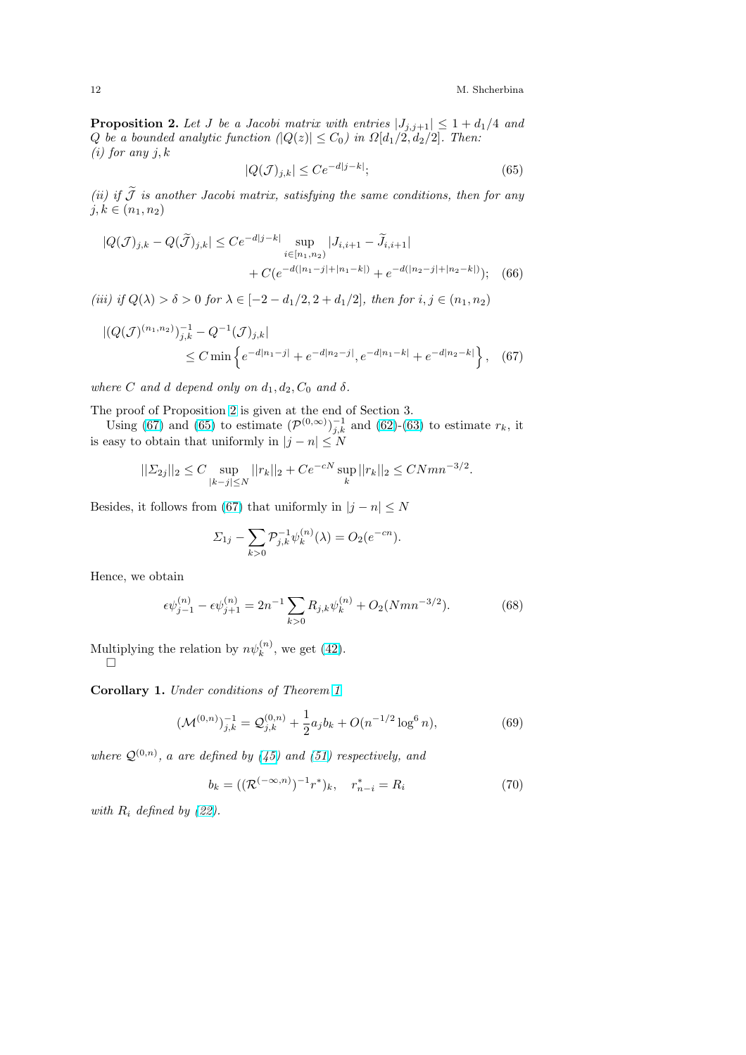<span id="page-11-0"></span>**Proposition 2.** Let J be a Jacobi matrix with entries  $|J_{j,j+1}| \leq 1 + d_1/4$  and Q be a bounded analytic function  $(|Q(z)| \leq C_0)$  in  $\Omega[d_1/2, d_2/2]$ . Then: (*i*) for any  $j, k$ 

$$
|Q(\mathcal{J})_{j,k}| \le Ce^{-d|j-k|};\tag{65}
$$

(ii) if  $\widetilde{\mathcal{J}}$  is another Jacobi matrix, satisfying the same conditions, then for any  $j, k \in (n_1, n_2)$ 

$$
|Q(\mathcal{J})_{j,k} - Q(\tilde{\mathcal{J}})_{j,k}| \leq C e^{-d|j-k|} \sup_{i \in [n_1, n_2)} |J_{i,i+1} - \tilde{J}_{i,i+1}|
$$
  
+ 
$$
C(e^{-d(|n_1-j|+|n_1-k|)} + e^{-d(|n_2-j|+|n_2-k|)}); \quad (66)
$$

(iii) if  $Q(\lambda) > \delta > 0$  for  $\lambda \in [-2 - d_1/2, 2 + d_1/2]$ , then for  $i, j \in (n_1, n_2)$ 

$$
\begin{aligned} |(Q(\mathcal{J})^{(n_1,n_2)})_{j,k}^{-1} - Q^{-1}(\mathcal{J})_{j,k}| \\ &\leq C \min \left\{ e^{-d|n_1 - j|} + e^{-d|n_2 - j|}, e^{-d|n_1 - k|} + e^{-d|n_2 - k|} \right\}, \quad (67) \end{aligned}
$$

where C and d depend only on  $d_1, d_2, C_0$  and  $\delta$ .

The proof of Proposition 2 is given at the end of Section 3.

Using (67) and (65) to estimate  $(\mathcal{P}^{(0,\infty)})_{j,k}^{-1}$  and (62)-(63) to estimate  $r_k$ , it is easy to obtain that uniformly in  $|j - n| \leq N$ 

$$
||\Sigma_{2j}||_2 \le C \sup_{|k-j| \le N} ||r_k||_2 + Ce^{-cN} \sup_k ||r_k||_2 \le C N m n^{-3/2}.
$$

Besides, it follows from (67) that uniformly in  $|j - n| \leq N$ 

$$
\Sigma_{1j} - \sum_{k>0} \mathcal{P}_{j,k}^{-1} \psi_k^{(n)}(\lambda) = O_2(e^{-cn}).
$$

Hence, we obtain

$$
\epsilon \psi_{j-1}^{(n)} - \epsilon \psi_{j+1}^{(n)} = 2n^{-1} \sum_{k>0} R_{j,k} \psi_k^{(n)} + O_2(Nmn^{-3/2}).
$$
 (68)

Multiplying the relation by  $n\psi_k^{(n)}$ , we get (42).  $\Box$ 

Corollary 1. Under conditions of Theorem 1

$$
(\mathcal{M}^{(0,n)})_{j,k}^{-1} = \mathcal{Q}_{j,k}^{(0,n)} + \frac{1}{2} a_j b_k + O(n^{-1/2} \log^6 n), \tag{69}
$$

where  $\mathcal{Q}^{(0,n)}$ , a are defined by (45) and (51) [r](#page-4-0)espectively, and

$$
b_k = ((\mathcal{R}^{(-\infty,n)})^{-1}r^*)_k, \quad r^*_{n-i} = R_i \tag{70}
$$

with  $R_i$  defined by  $(22)$ .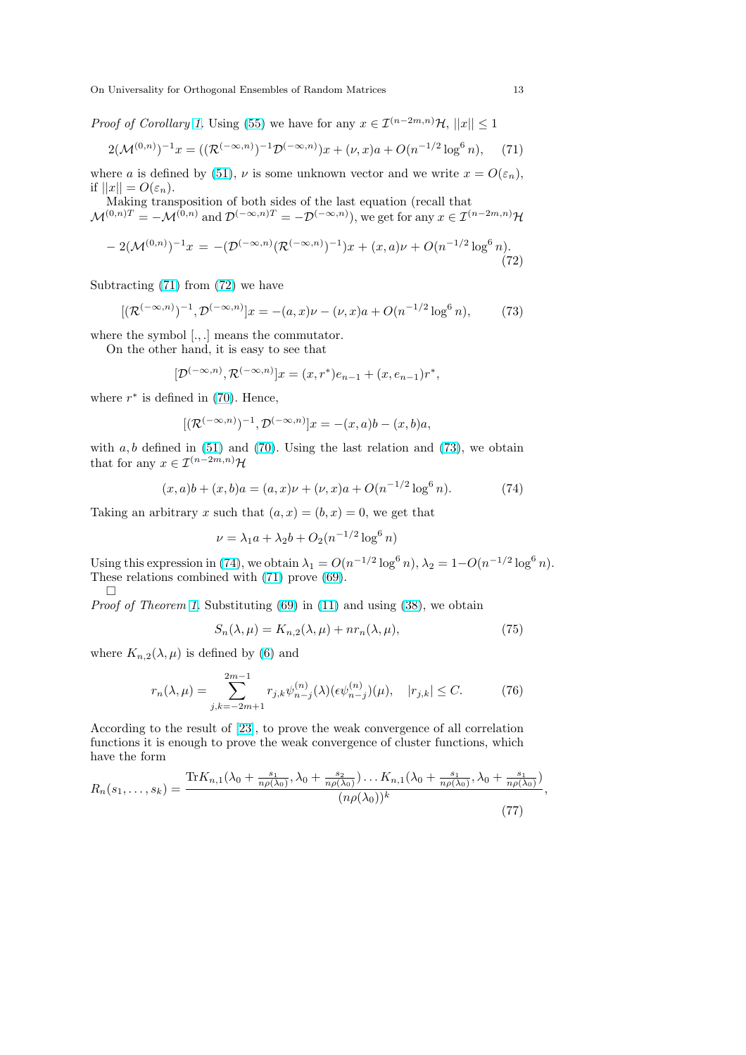<span id="page-12-0"></span>On Universality for Orthogonal Ensembles of Random Matrices 13

*Proof of Corollary 1.* Using (55) we have for any  $x \in \mathcal{I}^{(n-2m,n)}\mathcal{H}$ ,  $||x|| \leq 1$ 

$$
2(\mathcal{M}^{(0,n)})^{-1}x = ((\mathcal{R}^{(-\infty,n)})^{-1}\mathcal{D}^{(-\infty,n)})x + (\nu,x)a + O(n^{-1/2}\log^6 n), \quad (71)
$$

where a is defined by (51),  $\nu$  is some unknown vector and we write  $x = O(\varepsilon_n)$ , if  $||x|| = O(\varepsilon_n)$ .

Making transposition of both sides of the last equation (recall that  $\mathcal{M}^{(0,n)T} = -\mathcal{M}^{(0,n)}$  and  $\mathcal{D}^{(-\infty,n)T} = -\mathcal{D}^{(-\infty,n)}$ , we get for any  $x \in \mathcal{I}^{(n-2m,n)}\mathcal{H}$ 

$$
-2(\mathcal{M}^{(0,n)})^{-1}x = -(\mathcal{D}^{(-\infty,n)}(\mathcal{R}^{(-\infty,n)})^{-1})x + (x,a)\nu + O(n^{-1/2}\log^6 n).
$$
\n(72)

Subtracting (71) from (72) we have

$$
[(\mathcal{R}^{(-\infty,n)})^{-1}, \mathcal{D}^{(-\infty,n)}]x = -(a,x)\nu - (\nu,x)a + O(n^{-1/2}\log^6 n),
$$
 (73)

where the symbol [., .] means the commutator.

On the other hand, it is easy to see that

$$
[\mathcal{D}^{(-\infty,n)}, \mathcal{R}^{(-\infty,n)}]x = (x, r^*)e_{n-1} + (x, e_{n-1})r^*,
$$

where  $r^*$  is defined in (70). Hence,

$$
[(\mathcal{R}^{(-\infty,n)})^{-1}, \mathcal{D}^{(-\infty,n)}]x = -(x,a)b - (x,b)a,
$$

with  $a, b$  defined in (51) and (70). Using the last relation and (73), we obtain that for any  $x \in \mathcal{I}^{(n-2m,n)}\mathcal{H}$  $x \in \mathcal{I}^{(n-2m,n)}\mathcal{H}$  $x \in \mathcal{I}^{(n-2m,n)}\mathcal{H}$ 

$$
(x, a)b + (x, b)a = (a, x)\nu + (\nu, x)a + O(n^{-1/2}\log^{6} n).
$$
 (74)

Taking an arbitrary x [su](#page-9-0)ch that  $(a, x) = (b, x) = 0$ , we get that

$$
\nu = \lambda_1 a + \lambda_2 b + O_2(n^{-1/2} \log^6 n)
$$

Using this expression in (74), we obtain  $\lambda_1 = O(n^{-1/2} \log^6 n)$ ,  $\lambda_2 = 1 - O(n^{-1/2} \log^6 n)$ . These relations combined with (71) prove (69).  $\Box$ 

Proof of Theorem 1. Substituting (69) in (11) and using (38), we obtain

$$
S_n(\lambda, \mu) = K_{n,2}(\lambda, \mu) + nr_n(\lambda, \mu), \tag{75}
$$

where  $K_{n,2}(\lambda,\mu)$  is defined by (6) and

$$
r_n(\lambda, \mu) = \sum_{j,k=-2m+1}^{2m-1} r_{j,k} \psi_{n-j}^{(n)}(\lambda) (\epsilon \psi_{n-j}^{(n)}) (\mu), \quad |r_{j,k}| \le C. \tag{76}
$$

According to the result of [23], to prove the weak convergence of all correlation functions it is enough to prove the weak convergence of cluster functions, which have the form

$$
R_n(s_1,\ldots,s_k) = \frac{\text{Tr}K_{n,1}(\lambda_0 + \frac{s_1}{n\rho(\lambda_0)}, \lambda_0 + \frac{s_2}{n\rho(\lambda_0)})\ldots K_{n,1}(\lambda_0 + \frac{s_1}{n\rho(\lambda_0)}, \lambda_0 + \frac{s_1}{n\rho(\lambda_0)})}{(n\rho(\lambda_0))^k},\tag{77}
$$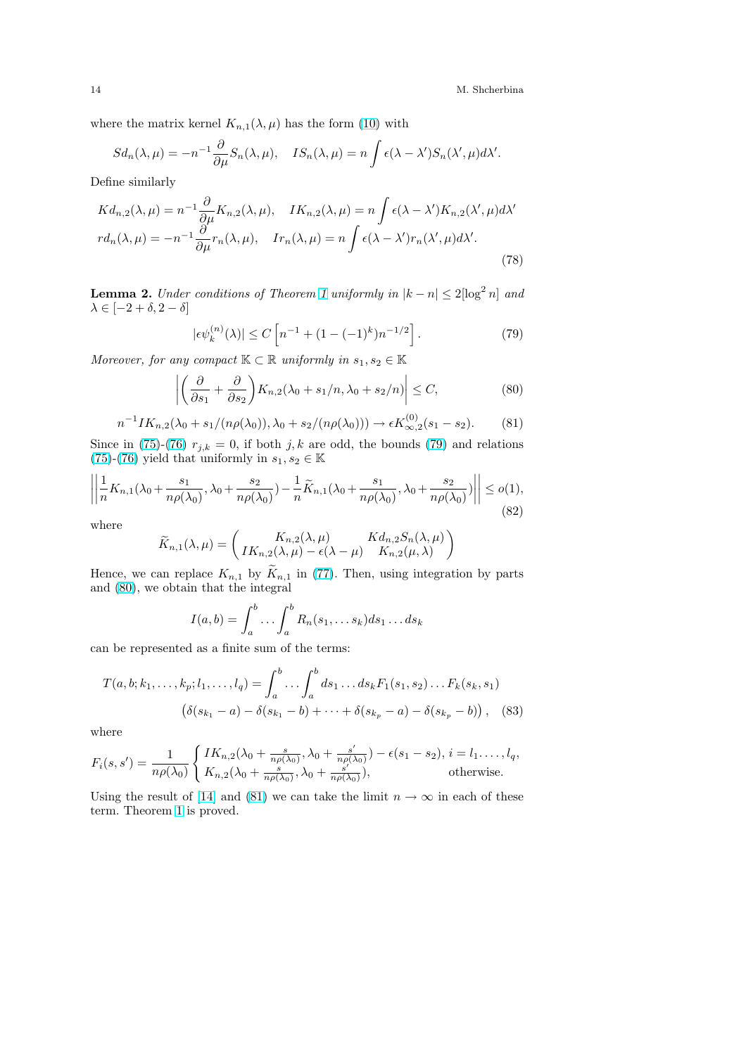<span id="page-13-0"></span>where the matrix kernel  $K_{n,1}(\lambda,\mu)$  has the form (10) with

$$
Sd_n(\lambda, \mu) = -n^{-1} \frac{\partial}{\partial \mu} S_n(\lambda, \mu), \quad IS_n(\lambda, \mu) = n \int \epsilon(\lambda - \lambda') S_n(\lambda', \mu) d\lambda'.
$$

Define similarly

$$
Kd_{n,2}(\lambda,\mu) = n^{-1} \frac{\partial}{\partial \mu} K_{n,2}(\lambda,\mu), \quad IK_{n,2}(\lambda,\mu) = n \int \epsilon(\lambda - \lambda') K_{n,2}(\lambda',\mu) d\lambda'
$$
  

$$
r d_n(\lambda,\mu) = -n^{-1} \frac{\partial}{\partial \mu} r_n(\lambda,\mu), \quad Ir_n(\lambda,\mu) = n \int \epsilon(\lambda - \lambda') r_n(\lambda',\mu) d\lambda'.
$$
 (78)

**Lemma 2.** Under conditions of Theorem 1 uniformly in  $|k - n| \leq 2\left[\log^2 n\right]$  and  $\lambda \in [-2 + \delta, 2 - \delta]$ 

$$
|\epsilon \psi_k^{(n)}(\lambda)| \le C \left[ n^{-1} + (1 - (-1)^k) n^{-1/2} \right]. \tag{79}
$$

Moreover, for any compact  $K \subset \mathbb{R}$  unifor[ml](#page-4-0)y in  $s_1, s_2 \in \mathbb{K}$ 

$$
\left| \left( \frac{\partial}{\partial s_1} + \frac{\partial}{\partial s_2} \right) K_{n,2} (\lambda_0 + s_1/n, \lambda_0 + s_2/n) \right| \le C, \tag{80}
$$

$$
n^{-1}IK_{n,2}(\lambda_0 + s_1/(n\rho(\lambda_0)), \lambda_0 + s_2/(n\rho(\lambda_0))) \to \epsilon K_{\infty,2}^{(0)}(s_1 - s_2). \tag{81}
$$

Since in (75)-(76)  $r_{j,k} = 0$ , if both j, k are odd, the bounds (79) and relations (75)-(76) yield that uniformly in  $s_1, s_2 \in \mathbb{K}$ 

$$
\left\| \frac{1}{n} K_{n,1}(\lambda_0 + \frac{s_1}{n \rho(\lambda_0)}, \lambda_0 + \frac{s_2}{n \rho(\lambda_0)}) - \frac{1}{n} \widetilde{K}_{n,1}(\lambda_0 + \frac{s_1}{n \rho(\lambda_0)}, \lambda_0 + \frac{s_2}{n \rho(\lambda_0)}) \right\| \le o(1),\tag{82}
$$

[whe](#page-12-0)r[e](#page-12-0)

$$
\widetilde{K}_{n,1}(\lambda,\mu) = \begin{pmatrix} K_{n,2}(\lambda,\mu) & K d_{n,2} S_n(\lambda,\mu) \\ IK_{n,2}(\lambda,\mu) - \epsilon(\lambda-\mu) & K_{n,2}(\mu,\lambda) \end{pmatrix}
$$

Hence, we can replace  $K_{n,1}$  by  $\widetilde{K}_{n,1}$  in (77). Then, using integration by parts and (80), we obtain that the integral

$$
I(a,b) = \int_a^b \dots \int_a^b R_n(s_1, \dots s_k) ds_1 \dots ds_k
$$

can be represented as a finite sum of the terms:

$$
T(a,b;k_1,\ldots,k_p;l_1,\ldots,l_q) = \int_a^b \ldots \int_a^b ds_1 \ldots ds_k F_1(s_1,s_2) \ldots F_k(s_k,s_1)
$$

$$
(\delta(s_{k_1} - a) - \delta(s_{k_1} - b) + \cdots + \delta(s_{k_p} - a) - \delta(s_{k_p} - b)), \quad (83)
$$

where

$$
F_i(s,s') = \frac{1}{n\rho(\lambda_0)} \begin{cases} IK_{n,2}(\lambda_0 + \frac{s}{n\rho(\lambda_0)}, \lambda_0 + \frac{s'}{n\rho(\lambda_0)}) - \epsilon(s_1 - s_2), i = l_1, \dots, l_q, \\ K_{n,2}(\lambda_0 + \frac{s}{n\rho(\lambda_0)}, \lambda_0 + \frac{s'}{n\rho(\lambda_0)}), \end{cases} \text{otherwise.}
$$

Using the result of [14] and (81) we can take the limit  $n \to \infty$  in each of these term. Theorem 1 is proved.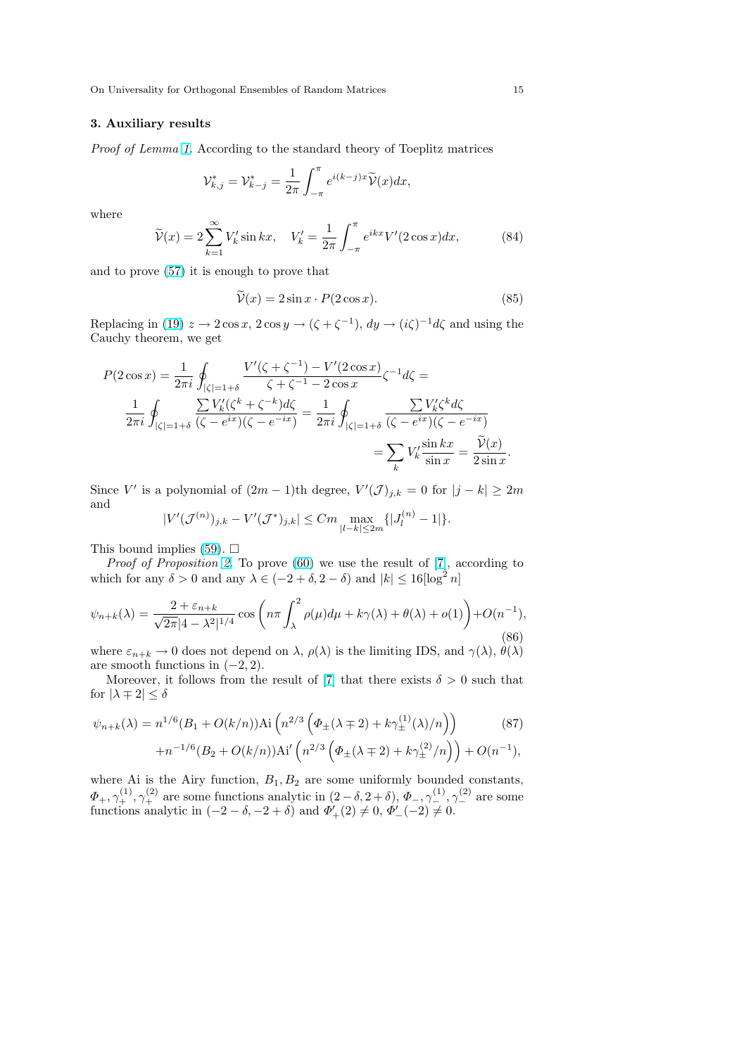## <span id="page-14-0"></span>3. Auxiliary results

Proof of Lemma 1. According to the standard theory of Toeplitz matrices

$$
\mathcal{V}_{k,j}^* = \mathcal{V}_{k-j}^* = \frac{1}{2\pi} \int_{-\pi}^{\pi} e^{i(k-j)x} \widetilde{\mathcal{V}}(x) dx,
$$

where

$$
\widetilde{\mathcal{V}}(x) = 2 \sum_{k=1}^{\infty} V'_k \sin kx, \quad V'_k = \frac{1}{2\pi} \int_{-\pi}^{\pi} e^{ikx} V'(2\cos x) dx,\tag{84}
$$

and to prove (57) it is enough to prove that

$$
\widetilde{\mathcal{V}}(x) = 2\sin x \cdot P(2\cos x). \tag{85}
$$

Replacing in (19)  $z \to 2\cos x$ ,  $2\cos y \to (\zeta + \zeta^{-1})$ ,  $dy \to (i\zeta)^{-1}d\zeta$  and using the Cauchy theor[em,](#page-10-0) we get

$$
P(2\cos x) = \frac{1}{2\pi i} \oint_{|\zeta|=1+\delta} \frac{V'(\zeta + \zeta^{-1}) - V'(2\cos x)}{\zeta + \zeta^{-1} - 2\cos x} \zeta^{-1} d\zeta =
$$
  

$$
\frac{1}{2\pi i} \oint_{|\zeta|=1+\delta} \frac{\sum V'_k(\zeta^k + \zeta^{-k})d\zeta}{(\zeta - e^{ix})(\zeta - e^{-ix})} = \frac{1}{2\pi i} \oint_{|\zeta|=1+\delta} \frac{\sum V'_k \zeta^k d\zeta}{(\zeta - e^{ix})(\zeta - e^{-ix})}
$$
  

$$
= \sum_k V'_k \frac{\sin kx}{\sin x} = \frac{\widetilde{V}(x)}{2\sin x}.
$$

Since V' is a polynomial of  $(2m-1)$ th degree,  $V'(\mathcal{J})_{j,k} = 0$  for  $|j - k| \geq 2m$ and

$$
|V'(\mathcal{J}^{(n)})_{j,k} - V'(\mathcal{J}^*)_{j,k}| \leq Cm \max_{|l-k| \leq 2m} \{|J_l^{(n)} - 1|\}.
$$

This bound implies (59).  $\square$ 

Proof of Proposition 2. To prove (60) we use the result of [7], according to which for any  $\delta > 0$  and any  $\lambda \in (-2 + \delta, 2 - \delta)$  and  $|k| \leq 16 \lceil \log^2 n \rceil$ 

$$
\psi_{n+k}(\lambda) = \frac{2 + \varepsilon_{n+k}}{\sqrt{2\pi}|4 - \lambda^2|^{1/4}} \cos\left(n\pi \int_{\lambda}^2 \rho(\mu)d\mu + k\gamma(\lambda) + \theta(\lambda) + o(1)\right) + O(n^{-1}),\tag{86}
$$

where  $\varepsilon_{n+k} \to 0$  does not depend on  $\lambda$ ,  $\rho(\lambda)$  is the limiting IDS, and  $\gamma(\lambda)$ ,  $\theta(\lambda)$ are smooth functions in  $(-2, 2)$ .

Moreover, it follows from the result of [7] that there exists  $\delta > 0$  such that for  $|\lambda \mp 2| \leq \delta$ 

$$
\psi_{n+k}(\lambda) = n^{1/6} (B_1 + O(k/n)) \text{Ai}\left(n^{2/3} \left(\Phi_{\pm}(\lambda \mp 2) + k \gamma_{\pm}^{(1)}(\lambda)/n\right)\right) + n^{-1/6} (B_2 + O(k/n)) \text{Ai}'\left(n^{2/3} \left(\Phi_{\pm}(\lambda \mp 2) + k \gamma_{\pm}^{(2)}/n\right)\right) + O(n^{-1}),
$$
\n(87)

where Ai is the Airy function,  $B_1, B_2$  are some uniformly bounded constants,  $\Phi_+, \gamma_+^{(1)}, \gamma_+^{(2)}$  are some functions analytic in  $(2-\delta, 2+\delta), \Phi_-, \gamma_-^{(1)}, \gamma_-^{(2)}$  are some functions analytic in  $(-2 - \delta, -2 + \delta)$  and  $\Phi'_{+}(2) \neq 0, \Phi'_{-}(-2) \neq 0$ .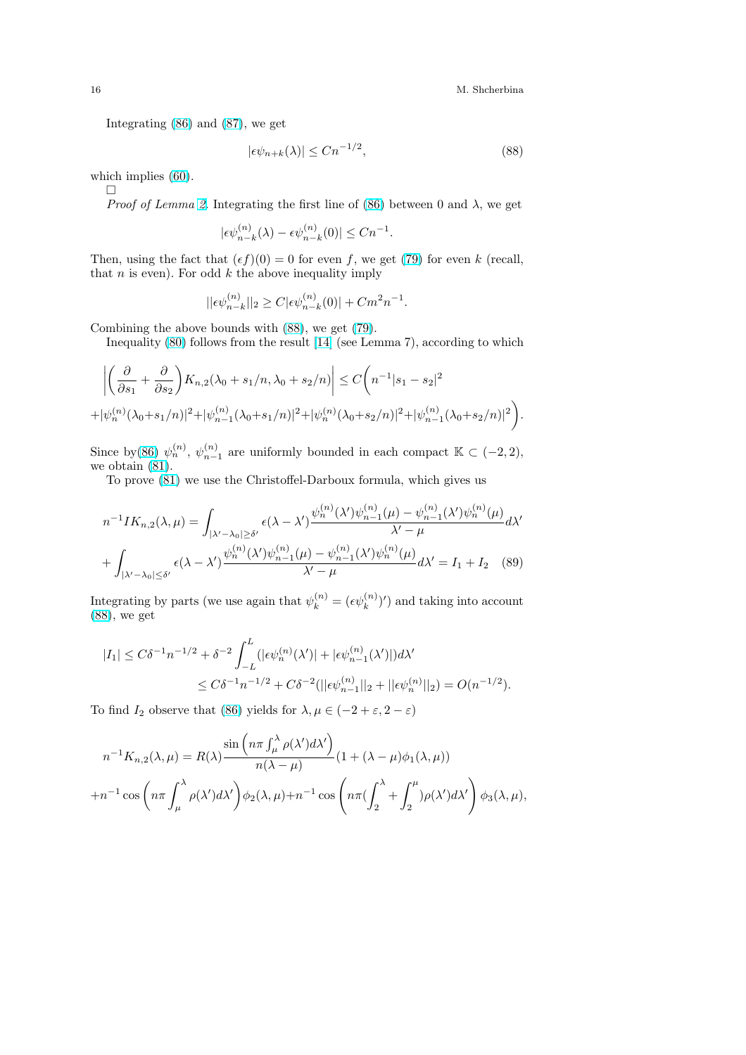Integrating (86) and (87), we get

$$
|\epsilon \psi_{n+k}(\lambda)| \le Cn^{-1/2},\tag{88}
$$

whichimplies  $(60)$  $(60)$ .

 $\Box$ 

*Proof of Lemma 2.* Integrating the first line of (86) between 0 and  $\lambda$ , we get

$$
|\epsilon \psi_{n-k}^{(n)}(\lambda)-\epsilon \psi_{n-k}^{(n)}(0)|\leq Cn^{-1}.
$$

Then, using the fact that  $(\epsilon f)(0) = 0$  for even f, we get (79) for even k (recall, that  $n$  is even). For [o](#page-13-0)dd  $k$  the above inequality im[ply](#page-14-0)

$$
||\epsilon \psi_{n-k}^{(n)}||_2 \geq C |\epsilon \psi_{n-k}^{(n)}(0)| + C m^2 n^{-1}.
$$

Combining the above bounds with (88), we get (79).

Inequality (80) follows from the result [14] (see Lemma 7), according to which

$$
\left| \left( \frac{\partial}{\partial s_1} + \frac{\partial}{\partial s_2} \right) K_{n,2} (\lambda_0 + s_1/n, \lambda_0 + s_2/n) \right| \le C \left( n^{-1} |s_1 - s_2|^2 + |\psi_n^{(n)}(\lambda_0 + s_1/n)|^2 + |\psi_{n-1}^{(n)}(\lambda_0 + s_1/n)|^2 + |\psi_n^{(n)}(\lambda_0 + s_2/n)|^2 + |\psi_{n-1}^{(n)}(\lambda_0 + s_2/n)|^2 \right).
$$

Since by(86)  $\psi_n^{(n)}$ ,  $\psi_{n-1}^{(n)}$  are uniformly bounded in each compact  $\mathbb{K} \subset (-2,2)$ , we obtain (81).

To prove (81) we use the Christoffel-Darboux formula, which gives us

$$
n^{-1}IK_{n,2}(\lambda,\mu) = \int_{|\lambda'-\lambda_0| \ge \delta'} \epsilon(\lambda-\lambda') \frac{\psi_n^{(n)}(\lambda')\psi_{n-1}^{(n)}(\mu) - \psi_{n-1}^{(n)}(\lambda')\psi_n^{(n)}(\mu)}{\lambda'-\mu} d\lambda'
$$
  
+ 
$$
\int_{|\lambda'-\lambda_0| \le \delta'} \epsilon(\lambda-\lambda') \frac{\psi_n^{(n)}(\lambda')\psi_{n-1}^{(n)}(\mu) - \psi_{n-1}^{(n)}(\lambda')\psi_n^{(n)}(\mu)}{\lambda'-\mu} d\lambda' = I_1 + I_2 \quad (89)
$$

Integrating by parts (we use again that  $\psi_k^{(n)} = (\epsilon \psi_k^{(n)})'$ ) and taking into account (88), we get

$$
\begin{aligned} |I_1| \leq C\delta^{-1}n^{-1/2} + \delta^{-2}\int_{-L}^{L}(|\epsilon\psi_n^{(n)}(\lambda')| + |\epsilon\psi_{n-1}^{(n)}(\lambda')|)d\lambda' \\ \leq C\delta^{-1}n^{-1/2} + C\delta^{-2}(||\epsilon\psi_{n-1}^{(n)}||_2 + ||\epsilon\psi_n^{(n)}||_2) = O(n^{-1/2}). \end{aligned}
$$

To find  $I_2$  observe that (86) yields for  $\lambda, \mu \in (-2 + \varepsilon, 2 - \varepsilon)$ 

$$
n^{-1}K_{n,2}(\lambda,\mu) = R(\lambda) \frac{\sin\left(n\pi \int_{\mu}^{\lambda} \rho(\lambda')d\lambda'\right)}{n(\lambda-\mu)} (1+(\lambda-\mu)\phi_1(\lambda,\mu))
$$
  
+
$$
n^{-1}\cos\left(n\pi \int_{\mu}^{\lambda} \rho(\lambda')d\lambda'\right)\phi_2(\lambda,\mu) + n^{-1}\cos\left(n\pi (\int_2^{\lambda} + \int_2^{\mu})\rho(\lambda')d\lambda'\right)\phi_3(\lambda,\mu),
$$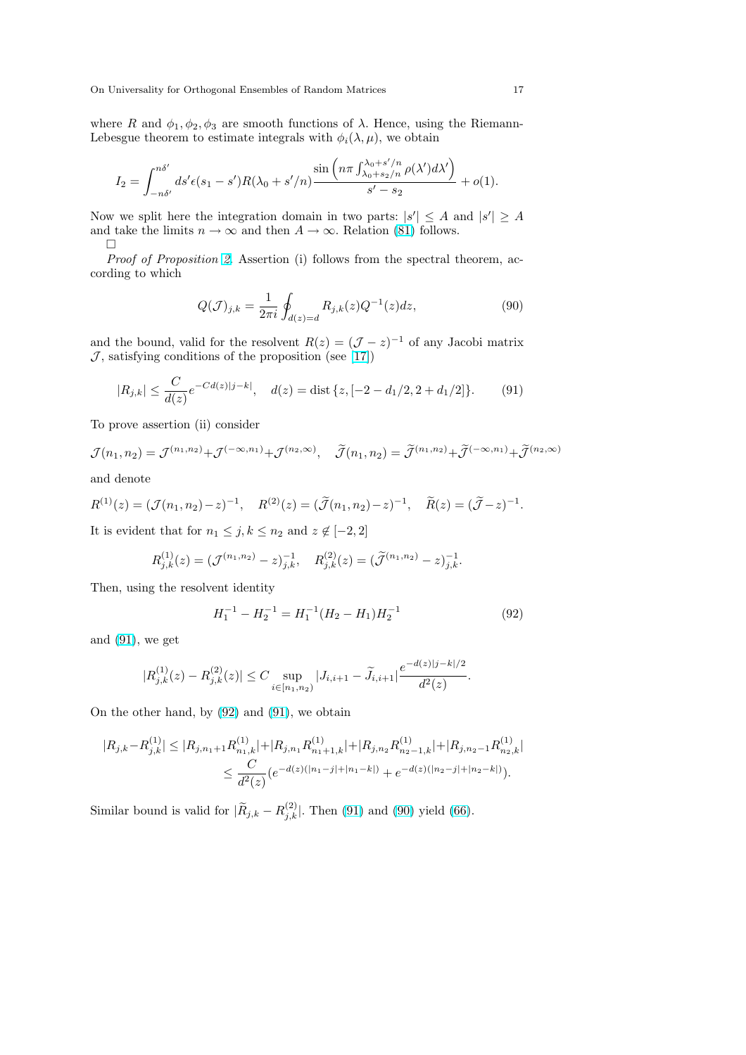where R and  $\phi_1, \phi_2, \phi_3$  are smooth functions of  $\lambda$ . Hence, using the Riemann-Lebesgue theorem to estimate integrals with  $\phi_i(\lambda, \mu)$ , we obtain

$$
I_2 = \int_{-n\delta'}^{n\delta'} ds' \epsilon(s_1 - s')R(\lambda_0 + s'/n) \frac{\sin\left(n\pi \int_{\lambda_0 + s'/n}^{\lambda_0 + s'/n} \rho(\lambda')d\lambda'\right)}{s' - s_2} + o(1).
$$

Now we split here the integration domain in two parts:  $|s'| \leq A$  and  $|s'| \geq A$ and take the limits  $n \to \infty$  and then  $A \to \infty$ . Relation (81) follows.

 $\Box$ 

Proof of Proposition 2. Assertion (i) follows from the spectral theorem, according to which

$$
Q(\mathcal{J})_{j,k} = \frac{1}{2\pi i} \oint_{d(z)=d} R_{j,k}(z) Q^{-1}(z) dz,
$$
\n(90)

and the bound, valid for the resolvent  $R(z) = (\mathcal{J} - z)^{-1}$  of any Jacobi matrix  $\mathcal J,$  satisfying conditions of the proposition (see [17])

$$
|R_{j,k}| \le \frac{C}{d(z)} e^{-C d(z)|j-k|}, \quad d(z) = \text{dist}\left\{z, [-2 - d_1/2, 2 + d_1/2] \right\}.
$$
 (91)

To prove assertion (ii) consider

$$
\mathcal{J}(n_1, n_2) = \mathcal{J}^{(n_1, n_2)} + \mathcal{J}^{(-\infty, n_1)} + \mathcal{J}^{(n_2, \infty)}, \quad \widetilde{\mathcal{J}}(n_1, n_2) = \widetilde{\mathcal{J}}^{(n_1, n_2)} + \widetilde{\mathcal{J}}^{(-\infty, n_1)} + \widetilde{\mathcal{J}}^{(n_2, \infty)}
$$

and denote

$$
R^{(1)}(z) = (\mathcal{J}(n_1, n_2) - z)^{-1}, \quad R^{(2)}(z) = (\widetilde{\mathcal{J}}(n_1, n_2) - z)^{-1}, \quad \widetilde{R}(z) = (\widetilde{\mathcal{J}} - z)^{-1}.
$$

It is evident that for  $n_1 \leq j, k \leq n_2$  and  $z \notin [-2, 2]$ 

$$
R_{j,k}^{(1)}(z) = (\mathcal{J}^{(n_1,n_2)} - z)_{j,k}^{-1}, \quad R_{j,k}^{(2)}(z) = (\widetilde{\mathcal{J}}^{(n_1,n_2)} - z)_{j,k}^{-1}.
$$

Then, using the resolvent identity

$$
H_1^{-1} - H_2^{-1} = H_1^{-1}(H_2 - H_1)H_2^{-1}
$$
\n<sup>(92)</sup>

and (91), we get

$$
|R_{j,k}^{(1)}(z) - R_{j,k}^{(2)}(z)| \le C \sup_{i \in [n_1, n_2)} |J_{i,i+1} - \widetilde{J}_{i,i+1}| \frac{e^{-d(z)|j-k|/2}}{d^2(z)}.
$$

On the other hand, by (92) and (91), we obtain

$$
|R_{j,k} - R_{j,k}^{(1)}| \le |R_{j,n_1+1}R_{n_1,k}^{(1)}| + |R_{j,n_1}R_{n_1+1,k}^{(1)}| + |R_{j,n_2}R_{n_2-1,k}^{(1)}| + |R_{j,n_2-1}R_{n_2,k}^{(1)}|
$$
  

$$
\le \frac{C}{d^2(z)} \left(e^{-d(z)(|n_1-j|+|n_1-k|)} + e^{-d(z)(|n_2-j|+|n_2-k|)}\right).
$$

Similar bound is valid for  $|\widetilde{R}_{j,k} - R_{j,k}^{(2)}|$ . Then (91) and (90) yield (66).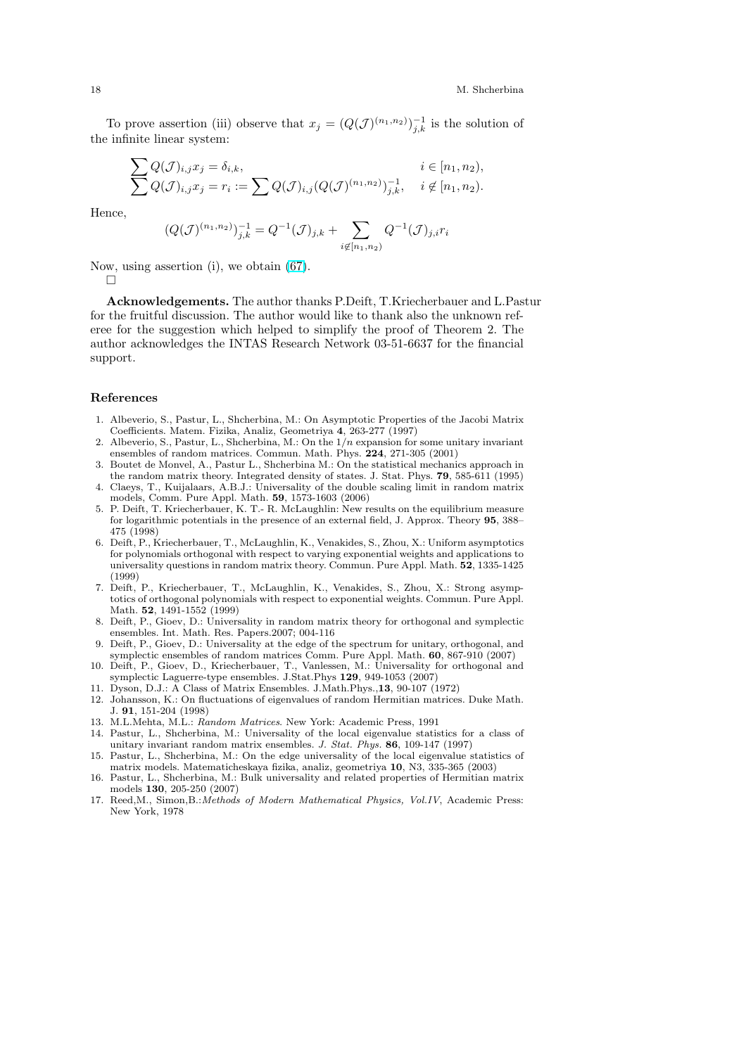<span id="page-17-0"></span>To prove assertion (iii) observe that  $x_j = (Q(\mathcal{J})^{(n_1,n_2)})_{j,k}^{-1}$  is the solution of the infinite linear system:

$$
\sum Q(\mathcal{J})_{i,j} x_j = \delta_{i,k},
$$
  
\n $i \in [n_1, n_2),$   
\n $j \in [n_1, n_2),$   
\n $i \in [n_1, n_2),$   
\n $j, j, k, i \notin [n_1, n_2).$ 

Hence,

$$
(Q(\mathcal{J})^{(n_1,n_2)})_{j,k}^{-1} = Q^{-1}(\mathcal{J})_{j,k} + \sum_{i \notin [n_1,n_2)} Q^{-1}(\mathcal{J})_{j,i} r_i
$$

Now, using assertion (i), we obtain (67).

 $\Box$ 

Acknowledgements. The author thanks P.Deift, T.Kriecherbauer and L.Pastur for the fruitful discussion. The author would like to thank also the unknown referee for the suggestion which helpe[d to](#page-11-0) simplify the proof of Theorem 2. The author acknowledges the INTAS Research Network 03-51-6637 for the financial support.

#### References

- 1. Albeverio, S., Pastur, L., Shcherbina, M.: On Asymptotic Properties of the Jacobi Matrix Coefficients. Matem. Fizika, Analiz, Geometriya 4, 263-277 (1997)
- 2. Albeverio, S., Pastur, L., Shcherbina, M.: On the  $1/n$  expansion for some unitary invariant ensembles of random matrices. Commun. Math. Phys. 224, 271-305 (2001)
- 3. Boutet de Monvel, A., Pastur L., Shcherbina M.: On the statistical mechanics approach in the random matrix theory. Integrated density of states. J. Stat. Phys. 79, 585-611 (1995)
- 4. Claeys, T., Kuijalaars, A.B.J.: Universality of the double scaling limit in random matrix models, Comm. Pure Appl. Math. 59, 1573-1603 (2006)
- 5. P. Deift, T. Kriecherbauer, K. T.- R. McLaughlin: New results on the equilibrium measure for logarithmic potentials in the presence of an external field, J. Approx. Theory 95, 388– 475 (1998)
- 6. Deift, P., Kriecherbauer, T., McLaughlin, K., Venakides, S., Zhou, X.: Uniform asymptotics for polynomials orthogonal with respect to varying exponential weights and applications to universality questions in random matrix theory. Commun. Pure Appl. Math. 52, 1335-1425 (1999)
- 7. Deift, P., Kriecherbauer, T., McLaughlin, K., Venakides, S., Zhou, X.: Strong asymptotics of orthogonal polynomials with respect to exponential weights. Commun. Pure Appl. Math. 52, 1491-1552 (1999)
- 8. Deift, P., Gioev, D.: Universality in random matrix theory for orthogonal and symplectic ensembles. Int. Math. Res. Papers.2007; 004-116
- 9. Deift, P., Gioev, D.: Universality at the edge of the spectrum for unitary, orthogonal, and symplectic ensembles of random matrices Comm. Pure Appl. Math. 60, 867-910 (2007)
- 10. Deift, P., Gioev, D., Kriecherbauer, T., Vanlessen, M.: Universality for orthogonal and symplectic Laguerre-type ensembles. J.Stat.Phys 129, 949-1053 (2007)
- 11. Dyson, D.J.: A Class of Matrix Ensembles. J.Math.Phys.,13, 90-107 (1972)
- 12. Johansson, K.: On fluctuations of eigenvalues of random Hermitian matrices. Duke Math. J. 91, 151-204 (1998)
- 13. M.L.Mehta, M.L.: Random Matrices. New York: Academic Press, 1991
- 14. Pastur, L., Shcherbina, M.: Universality of the local eigenvalue statistics for a class of unitary invariant random matrix ensembles. J. Stat. Phys. 86, 109-147 (1997)
- 15. Pastur, L., Shcherbina, M.: On the edge universality of the local eigenvalue statistics of matrix models. Matematicheskaya fizika, analiz, geometriya 10, N3, 335-365 (2003)
- 16. Pastur, L., Shcherbina, M.: Bulk universality and related properties of Hermitian matrix models 130, 205-250 (2007)
- 17. Reed, M., Simon, B.: Methods of Modern Mathematical Physics, Vol. IV, Academic Press: New York, 1978